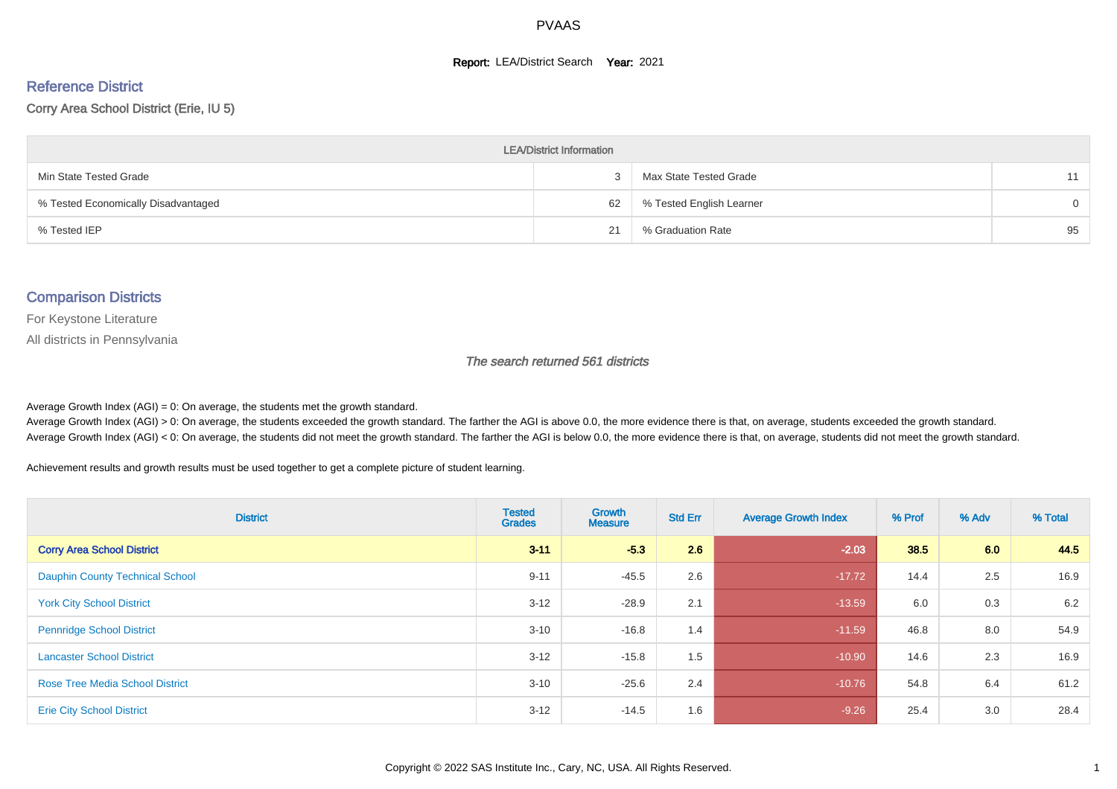#### **Report: LEA/District Search Year: 2021**

# Reference District

#### Corry Area School District (Erie, IU 5)

| <b>LEA/District Information</b>     |    |                          |          |  |  |  |  |  |  |  |
|-------------------------------------|----|--------------------------|----------|--|--|--|--|--|--|--|
| Min State Tested Grade              |    | Max State Tested Grade   | 11       |  |  |  |  |  |  |  |
| % Tested Economically Disadvantaged | 62 | % Tested English Learner | $\Omega$ |  |  |  |  |  |  |  |
| % Tested IEP                        | 21 | % Graduation Rate        | 95       |  |  |  |  |  |  |  |

#### Comparison Districts

For Keystone Literature

All districts in Pennsylvania

The search returned 561 districts

Average Growth Index  $(AGI) = 0$ : On average, the students met the growth standard.

Average Growth Index (AGI) > 0: On average, the students exceeded the growth standard. The farther the AGI is above 0.0, the more evidence there is that, on average, students exceeded the growth standard. Average Growth Index (AGI) < 0: On average, the students did not meet the growth standard. The farther the AGI is below 0.0, the more evidence there is that, on average, students did not meet the growth standard.

Achievement results and growth results must be used together to get a complete picture of student learning.

| <b>District</b>                        | <b>Tested</b><br><b>Grades</b> | Growth<br><b>Measure</b> | <b>Std Err</b> | <b>Average Growth Index</b> | % Prof | % Adv | % Total |
|----------------------------------------|--------------------------------|--------------------------|----------------|-----------------------------|--------|-------|---------|
| <b>Corry Area School District</b>      | $3 - 11$                       | $-5.3$                   | 2.6            | $-2.03$                     | 38.5   | 6.0   | 44.5    |
| <b>Dauphin County Technical School</b> | $9 - 11$                       | $-45.5$                  | 2.6            | $-17.72$                    | 14.4   | 2.5   | 16.9    |
| <b>York City School District</b>       | $3 - 12$                       | $-28.9$                  | 2.1            | $-13.59$                    | 6.0    | 0.3   | 6.2     |
| <b>Pennridge School District</b>       | $3 - 10$                       | $-16.8$                  | 1.4            | $-11.59$                    | 46.8   | 8.0   | 54.9    |
| <b>Lancaster School District</b>       | $3 - 12$                       | $-15.8$                  | 1.5            | $-10.90$                    | 14.6   | 2.3   | 16.9    |
| <b>Rose Tree Media School District</b> | $3 - 10$                       | $-25.6$                  | 2.4            | $-10.76$                    | 54.8   | 6.4   | 61.2    |
| <b>Erie City School District</b>       | $3 - 12$                       | $-14.5$                  | 1.6            | $-9.26$                     | 25.4   | 3.0   | 28.4    |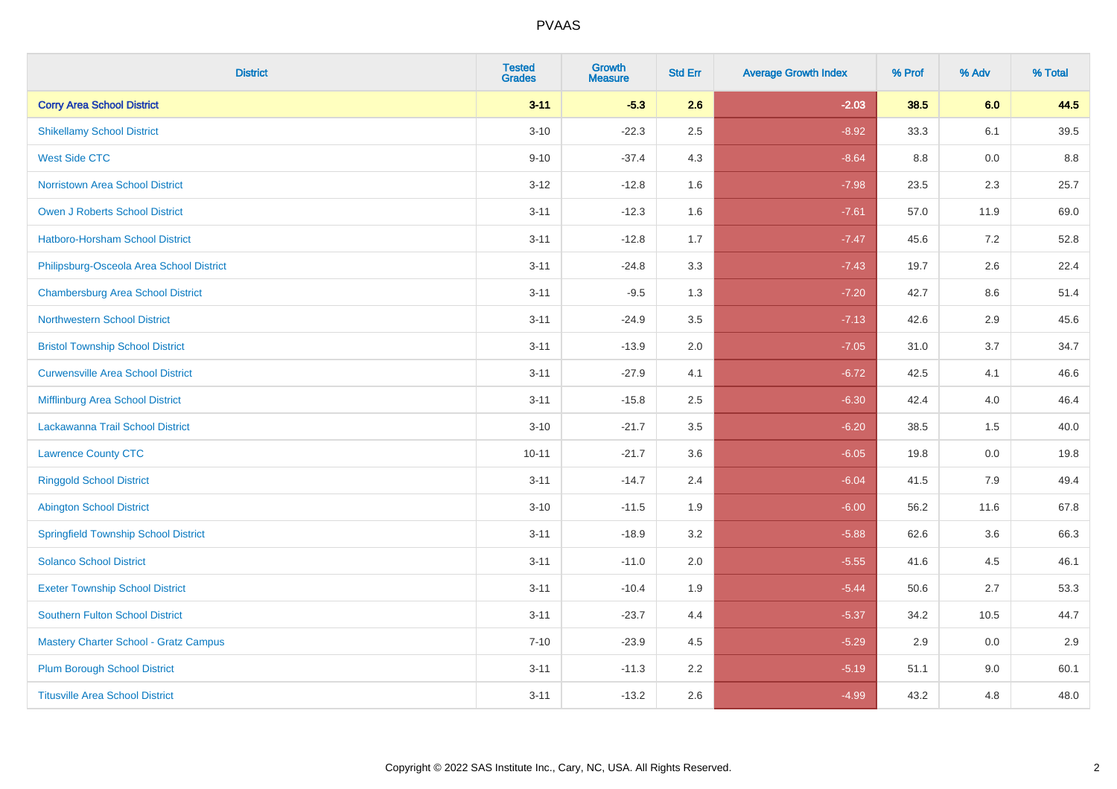| <b>District</b>                              | <b>Tested</b><br><b>Grades</b> | Growth<br><b>Measure</b> | <b>Std Err</b> | <b>Average Growth Index</b> | % Prof | % Adv | % Total |
|----------------------------------------------|--------------------------------|--------------------------|----------------|-----------------------------|--------|-------|---------|
| <b>Corry Area School District</b>            | $3 - 11$                       | $-5.3$                   | 2.6            | $-2.03$                     | 38.5   | 6.0   | 44.5    |
| <b>Shikellamy School District</b>            | $3 - 10$                       | $-22.3$                  | 2.5            | $-8.92$                     | 33.3   | 6.1   | 39.5    |
| <b>West Side CTC</b>                         | $9 - 10$                       | $-37.4$                  | 4.3            | $-8.64$                     | 8.8    | 0.0   | 8.8     |
| Norristown Area School District              | $3 - 12$                       | $-12.8$                  | 1.6            | $-7.98$                     | 23.5   | 2.3   | 25.7    |
| <b>Owen J Roberts School District</b>        | $3 - 11$                       | $-12.3$                  | 1.6            | $-7.61$                     | 57.0   | 11.9  | 69.0    |
| Hatboro-Horsham School District              | $3 - 11$                       | $-12.8$                  | 1.7            | $-7.47$                     | 45.6   | 7.2   | 52.8    |
| Philipsburg-Osceola Area School District     | $3 - 11$                       | $-24.8$                  | 3.3            | $-7.43$                     | 19.7   | 2.6   | 22.4    |
| <b>Chambersburg Area School District</b>     | $3 - 11$                       | $-9.5$                   | 1.3            | $-7.20$                     | 42.7   | 8.6   | 51.4    |
| <b>Northwestern School District</b>          | $3 - 11$                       | $-24.9$                  | 3.5            | $-7.13$                     | 42.6   | 2.9   | 45.6    |
| <b>Bristol Township School District</b>      | $3 - 11$                       | $-13.9$                  | 2.0            | $-7.05$                     | 31.0   | 3.7   | 34.7    |
| <b>Curwensville Area School District</b>     | $3 - 11$                       | $-27.9$                  | 4.1            | $-6.72$                     | 42.5   | 4.1   | 46.6    |
| Mifflinburg Area School District             | $3 - 11$                       | $-15.8$                  | 2.5            | $-6.30$                     | 42.4   | 4.0   | 46.4    |
| Lackawanna Trail School District             | $3 - 10$                       | $-21.7$                  | 3.5            | $-6.20$                     | 38.5   | 1.5   | 40.0    |
| <b>Lawrence County CTC</b>                   | $10 - 11$                      | $-21.7$                  | 3.6            | $-6.05$                     | 19.8   | 0.0   | 19.8    |
| <b>Ringgold School District</b>              | $3 - 11$                       | $-14.7$                  | 2.4            | $-6.04$                     | 41.5   | 7.9   | 49.4    |
| <b>Abington School District</b>              | $3 - 10$                       | $-11.5$                  | 1.9            | $-6.00$                     | 56.2   | 11.6  | 67.8    |
| <b>Springfield Township School District</b>  | $3 - 11$                       | $-18.9$                  | 3.2            | $-5.88$                     | 62.6   | 3.6   | 66.3    |
| <b>Solanco School District</b>               | $3 - 11$                       | $-11.0$                  | 2.0            | $-5.55$                     | 41.6   | 4.5   | 46.1    |
| <b>Exeter Township School District</b>       | $3 - 11$                       | $-10.4$                  | 1.9            | $-5.44$                     | 50.6   | 2.7   | 53.3    |
| <b>Southern Fulton School District</b>       | $3 - 11$                       | $-23.7$                  | 4.4            | $-5.37$                     | 34.2   | 10.5  | 44.7    |
| <b>Mastery Charter School - Gratz Campus</b> | $7 - 10$                       | $-23.9$                  | 4.5            | $-5.29$                     | 2.9    | 0.0   | 2.9     |
| <b>Plum Borough School District</b>          | $3 - 11$                       | $-11.3$                  | 2.2            | $-5.19$                     | 51.1   | 9.0   | 60.1    |
| <b>Titusville Area School District</b>       | $3 - 11$                       | $-13.2$                  | 2.6            | $-4.99$                     | 43.2   | 4.8   | 48.0    |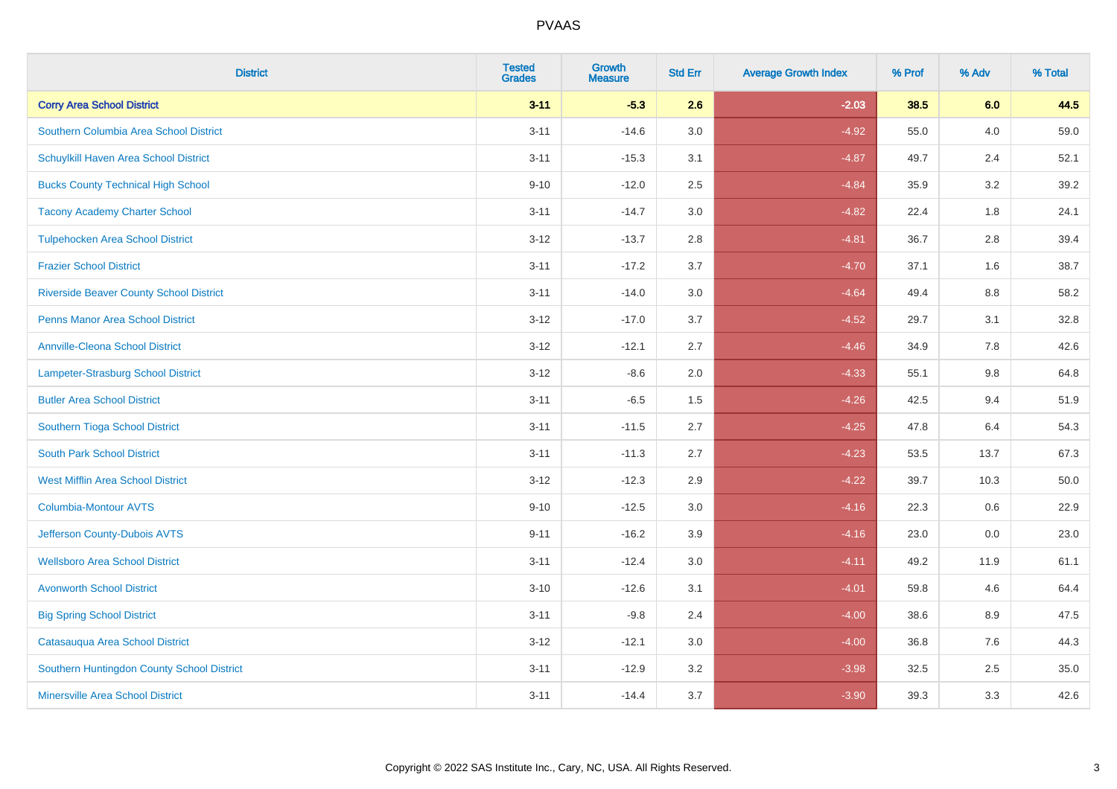| <b>District</b>                                | <b>Tested</b><br><b>Grades</b> | <b>Growth</b><br><b>Measure</b> | <b>Std Err</b> | <b>Average Growth Index</b> | % Prof | % Adv | % Total |
|------------------------------------------------|--------------------------------|---------------------------------|----------------|-----------------------------|--------|-------|---------|
| <b>Corry Area School District</b>              | $3 - 11$                       | $-5.3$                          | 2.6            | $-2.03$                     | 38.5   | 6.0   | 44.5    |
| Southern Columbia Area School District         | $3 - 11$                       | $-14.6$                         | 3.0            | $-4.92$                     | 55.0   | 4.0   | 59.0    |
| Schuylkill Haven Area School District          | $3 - 11$                       | $-15.3$                         | 3.1            | $-4.87$                     | 49.7   | 2.4   | 52.1    |
| <b>Bucks County Technical High School</b>      | $9 - 10$                       | $-12.0$                         | 2.5            | $-4.84$                     | 35.9   | 3.2   | 39.2    |
| <b>Tacony Academy Charter School</b>           | $3 - 11$                       | $-14.7$                         | 3.0            | $-4.82$                     | 22.4   | 1.8   | 24.1    |
| <b>Tulpehocken Area School District</b>        | $3 - 12$                       | $-13.7$                         | 2.8            | $-4.81$                     | 36.7   | 2.8   | 39.4    |
| <b>Frazier School District</b>                 | $3 - 11$                       | $-17.2$                         | 3.7            | $-4.70$                     | 37.1   | 1.6   | 38.7    |
| <b>Riverside Beaver County School District</b> | $3 - 11$                       | $-14.0$                         | 3.0            | $-4.64$                     | 49.4   | 8.8   | 58.2    |
| <b>Penns Manor Area School District</b>        | $3 - 12$                       | $-17.0$                         | 3.7            | $-4.52$                     | 29.7   | 3.1   | 32.8    |
| <b>Annville-Cleona School District</b>         | $3 - 12$                       | $-12.1$                         | 2.7            | $-4.46$                     | 34.9   | 7.8   | 42.6    |
| Lampeter-Strasburg School District             | $3 - 12$                       | $-8.6$                          | 2.0            | $-4.33$                     | 55.1   | 9.8   | 64.8    |
| <b>Butler Area School District</b>             | $3 - 11$                       | $-6.5$                          | 1.5            | $-4.26$                     | 42.5   | 9.4   | 51.9    |
| Southern Tioga School District                 | $3 - 11$                       | $-11.5$                         | 2.7            | $-4.25$                     | 47.8   | 6.4   | 54.3    |
| <b>South Park School District</b>              | $3 - 11$                       | $-11.3$                         | 2.7            | $-4.23$                     | 53.5   | 13.7  | 67.3    |
| <b>West Mifflin Area School District</b>       | $3 - 12$                       | $-12.3$                         | 2.9            | $-4.22$                     | 39.7   | 10.3  | 50.0    |
| <b>Columbia-Montour AVTS</b>                   | $9 - 10$                       | $-12.5$                         | 3.0            | $-4.16$                     | 22.3   | 0.6   | 22.9    |
| Jefferson County-Dubois AVTS                   | $9 - 11$                       | $-16.2$                         | 3.9            | $-4.16$                     | 23.0   | 0.0   | 23.0    |
| <b>Wellsboro Area School District</b>          | $3 - 11$                       | $-12.4$                         | 3.0            | $-4.11$                     | 49.2   | 11.9  | 61.1    |
| <b>Avonworth School District</b>               | $3 - 10$                       | $-12.6$                         | 3.1            | $-4.01$                     | 59.8   | 4.6   | 64.4    |
| <b>Big Spring School District</b>              | $3 - 11$                       | $-9.8$                          | 2.4            | $-4.00$                     | 38.6   | 8.9   | 47.5    |
| Catasauqua Area School District                | $3 - 12$                       | $-12.1$                         | 3.0            | $-4.00$                     | 36.8   | 7.6   | 44.3    |
| Southern Huntingdon County School District     | $3 - 11$                       | $-12.9$                         | 3.2            | $-3.98$                     | 32.5   | 2.5   | 35.0    |
| <b>Minersville Area School District</b>        | $3 - 11$                       | $-14.4$                         | 3.7            | $-3.90$                     | 39.3   | 3.3   | 42.6    |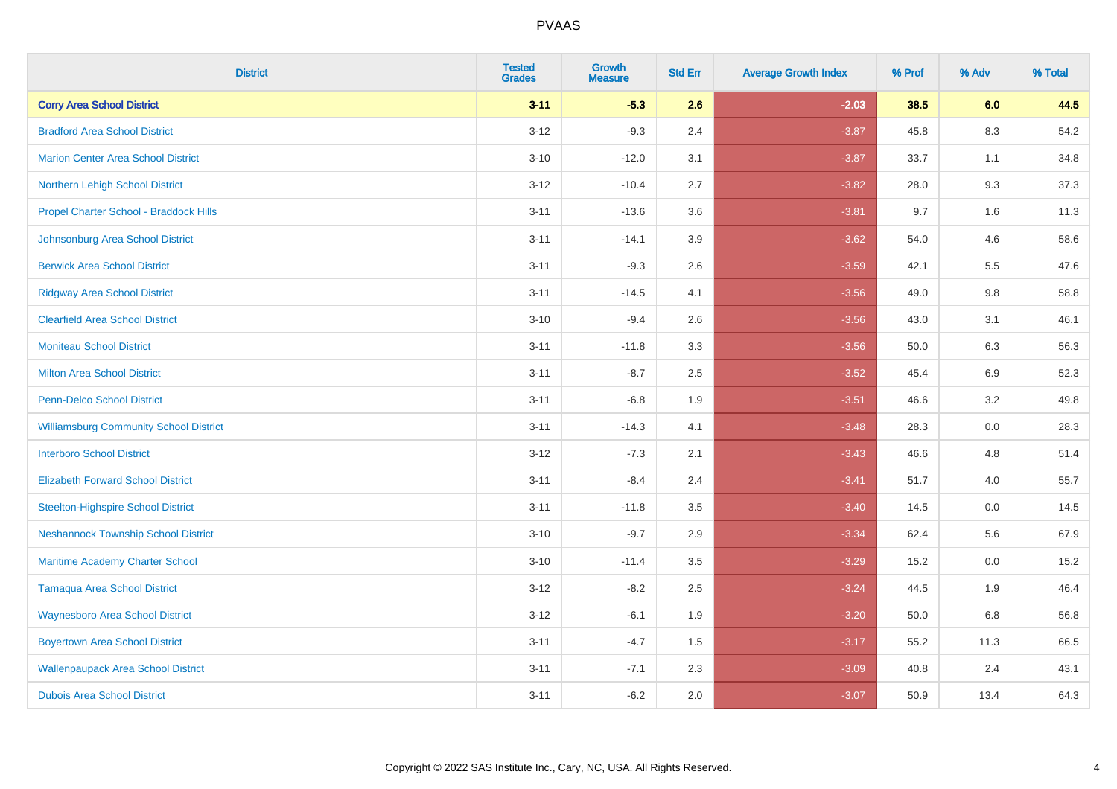| <b>District</b>                               | <b>Tested</b><br><b>Grades</b> | <b>Growth</b><br><b>Measure</b> | <b>Std Err</b> | <b>Average Growth Index</b> | % Prof | % Adv   | % Total |
|-----------------------------------------------|--------------------------------|---------------------------------|----------------|-----------------------------|--------|---------|---------|
| <b>Corry Area School District</b>             | $3 - 11$                       | $-5.3$                          | 2.6            | $-2.03$                     | 38.5   | 6.0     | 44.5    |
| <b>Bradford Area School District</b>          | $3 - 12$                       | $-9.3$                          | 2.4            | $-3.87$                     | 45.8   | 8.3     | 54.2    |
| <b>Marion Center Area School District</b>     | $3 - 10$                       | $-12.0$                         | 3.1            | $-3.87$                     | 33.7   | 1.1     | 34.8    |
| Northern Lehigh School District               | $3 - 12$                       | $-10.4$                         | 2.7            | $-3.82$                     | 28.0   | 9.3     | 37.3    |
| Propel Charter School - Braddock Hills        | $3 - 11$                       | $-13.6$                         | 3.6            | $-3.81$                     | 9.7    | 1.6     | 11.3    |
| Johnsonburg Area School District              | $3 - 11$                       | $-14.1$                         | 3.9            | $-3.62$                     | 54.0   | 4.6     | 58.6    |
| <b>Berwick Area School District</b>           | $3 - 11$                       | $-9.3$                          | 2.6            | $-3.59$                     | 42.1   | 5.5     | 47.6    |
| <b>Ridgway Area School District</b>           | $3 - 11$                       | $-14.5$                         | 4.1            | $-3.56$                     | 49.0   | 9.8     | 58.8    |
| <b>Clearfield Area School District</b>        | $3 - 10$                       | $-9.4$                          | 2.6            | $-3.56$                     | 43.0   | 3.1     | 46.1    |
| <b>Moniteau School District</b>               | $3 - 11$                       | $-11.8$                         | 3.3            | $-3.56$                     | 50.0   | 6.3     | 56.3    |
| <b>Milton Area School District</b>            | $3 - 11$                       | $-8.7$                          | 2.5            | $-3.52$                     | 45.4   | 6.9     | 52.3    |
| <b>Penn-Delco School District</b>             | $3 - 11$                       | $-6.8$                          | 1.9            | $-3.51$                     | 46.6   | 3.2     | 49.8    |
| <b>Williamsburg Community School District</b> | $3 - 11$                       | $-14.3$                         | 4.1            | $-3.48$                     | 28.3   | $0.0\,$ | 28.3    |
| <b>Interboro School District</b>              | $3 - 12$                       | $-7.3$                          | 2.1            | $-3.43$                     | 46.6   | 4.8     | 51.4    |
| <b>Elizabeth Forward School District</b>      | $3 - 11$                       | $-8.4$                          | 2.4            | $-3.41$                     | 51.7   | 4.0     | 55.7    |
| <b>Steelton-Highspire School District</b>     | $3 - 11$                       | $-11.8$                         | 3.5            | $-3.40$                     | 14.5   | $0.0\,$ | 14.5    |
| <b>Neshannock Township School District</b>    | $3 - 10$                       | $-9.7$                          | 2.9            | $-3.34$                     | 62.4   | 5.6     | 67.9    |
| Maritime Academy Charter School               | $3 - 10$                       | $-11.4$                         | 3.5            | $-3.29$                     | 15.2   | 0.0     | 15.2    |
| <b>Tamaqua Area School District</b>           | $3 - 12$                       | $-8.2$                          | 2.5            | $-3.24$                     | 44.5   | 1.9     | 46.4    |
| <b>Waynesboro Area School District</b>        | $3 - 12$                       | $-6.1$                          | 1.9            | $-3.20$                     | 50.0   | 6.8     | 56.8    |
| <b>Boyertown Area School District</b>         | $3 - 11$                       | $-4.7$                          | 1.5            | $-3.17$                     | 55.2   | 11.3    | 66.5    |
| <b>Wallenpaupack Area School District</b>     | $3 - 11$                       | $-7.1$                          | 2.3            | $-3.09$                     | 40.8   | 2.4     | 43.1    |
| <b>Dubois Area School District</b>            | $3 - 11$                       | $-6.2$                          | 2.0            | $-3.07$                     | 50.9   | 13.4    | 64.3    |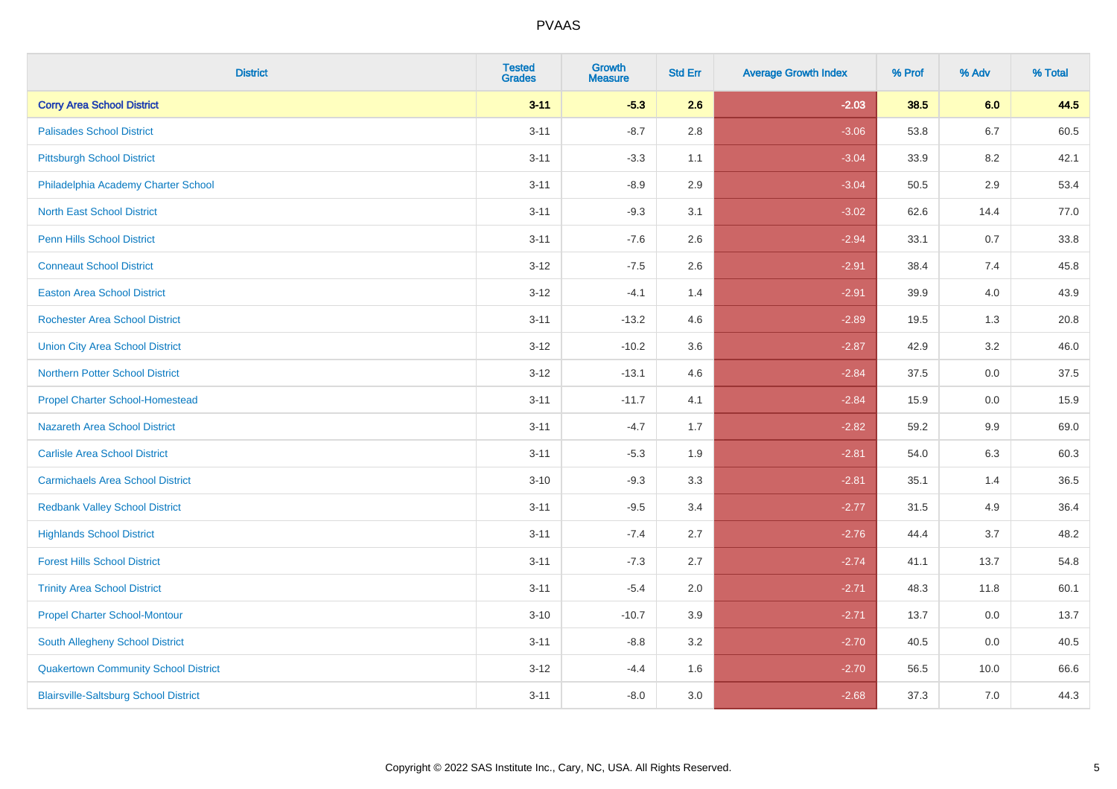| <b>District</b>                              | <b>Tested</b><br><b>Grades</b> | <b>Growth</b><br><b>Measure</b> | <b>Std Err</b> | <b>Average Growth Index</b> | % Prof | % Adv   | % Total |
|----------------------------------------------|--------------------------------|---------------------------------|----------------|-----------------------------|--------|---------|---------|
| <b>Corry Area School District</b>            | $3 - 11$                       | $-5.3$                          | 2.6            | $-2.03$                     | 38.5   | 6.0     | 44.5    |
| <b>Palisades School District</b>             | $3 - 11$                       | $-8.7$                          | 2.8            | $-3.06$                     | 53.8   | $6.7\,$ | 60.5    |
| <b>Pittsburgh School District</b>            | $3 - 11$                       | $-3.3$                          | 1.1            | $-3.04$                     | 33.9   | 8.2     | 42.1    |
| Philadelphia Academy Charter School          | $3 - 11$                       | $-8.9$                          | 2.9            | $-3.04$                     | 50.5   | 2.9     | 53.4    |
| <b>North East School District</b>            | $3 - 11$                       | $-9.3$                          | 3.1            | $-3.02$                     | 62.6   | 14.4    | 77.0    |
| <b>Penn Hills School District</b>            | $3 - 11$                       | $-7.6$                          | 2.6            | $-2.94$                     | 33.1   | 0.7     | 33.8    |
| <b>Conneaut School District</b>              | $3 - 12$                       | $-7.5$                          | 2.6            | $-2.91$                     | 38.4   | 7.4     | 45.8    |
| <b>Easton Area School District</b>           | $3-12$                         | $-4.1$                          | 1.4            | $-2.91$                     | 39.9   | 4.0     | 43.9    |
| Rochester Area School District               | $3 - 11$                       | $-13.2$                         | 4.6            | $-2.89$                     | 19.5   | 1.3     | 20.8    |
| <b>Union City Area School District</b>       | $3-12$                         | $-10.2$                         | 3.6            | $-2.87$                     | 42.9   | 3.2     | 46.0    |
| <b>Northern Potter School District</b>       | $3 - 12$                       | $-13.1$                         | 4.6            | $-2.84$                     | 37.5   | 0.0     | 37.5    |
| <b>Propel Charter School-Homestead</b>       | $3 - 11$                       | $-11.7$                         | 4.1            | $-2.84$                     | 15.9   | 0.0     | 15.9    |
| Nazareth Area School District                | $3 - 11$                       | $-4.7$                          | 1.7            | $-2.82$                     | 59.2   | 9.9     | 69.0    |
| <b>Carlisle Area School District</b>         | $3 - 11$                       | $-5.3$                          | 1.9            | $-2.81$                     | 54.0   | 6.3     | 60.3    |
| <b>Carmichaels Area School District</b>      | $3 - 10$                       | $-9.3$                          | 3.3            | $-2.81$                     | 35.1   | 1.4     | 36.5    |
| <b>Redbank Valley School District</b>        | $3 - 11$                       | $-9.5$                          | 3.4            | $-2.77$                     | 31.5   | 4.9     | 36.4    |
| <b>Highlands School District</b>             | $3 - 11$                       | $-7.4$                          | 2.7            | $-2.76$                     | 44.4   | 3.7     | 48.2    |
| <b>Forest Hills School District</b>          | $3 - 11$                       | $-7.3$                          | 2.7            | $-2.74$                     | 41.1   | 13.7    | 54.8    |
| <b>Trinity Area School District</b>          | $3 - 11$                       | $-5.4$                          | 2.0            | $-2.71$                     | 48.3   | 11.8    | 60.1    |
| <b>Propel Charter School-Montour</b>         | $3 - 10$                       | $-10.7$                         | 3.9            | $-2.71$                     | 13.7   | 0.0     | 13.7    |
| South Allegheny School District              | $3 - 11$                       | $-8.8$                          | 3.2            | $-2.70$                     | 40.5   | 0.0     | 40.5    |
| <b>Quakertown Community School District</b>  | $3 - 12$                       | $-4.4$                          | 1.6            | $-2.70$                     | 56.5   | 10.0    | 66.6    |
| <b>Blairsville-Saltsburg School District</b> | $3 - 11$                       | $-8.0$                          | 3.0            | $-2.68$                     | 37.3   | 7.0     | 44.3    |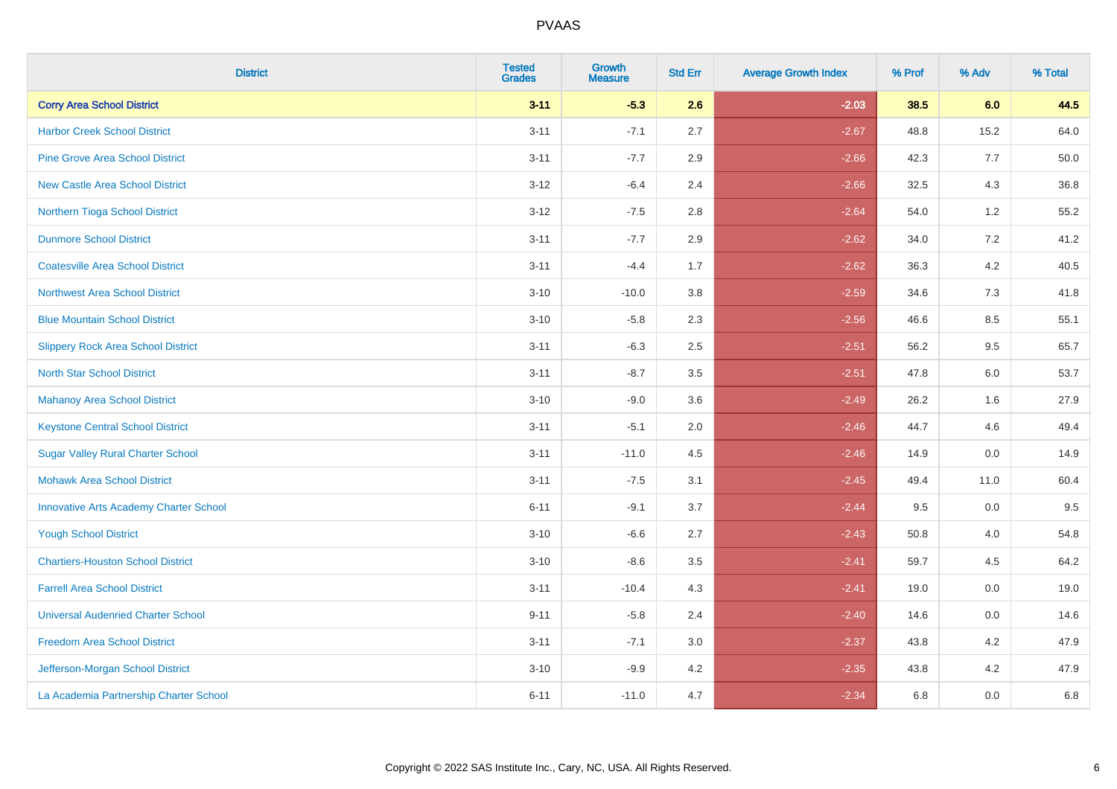| <b>District</b>                               | <b>Tested</b><br><b>Grades</b> | Growth<br><b>Measure</b> | <b>Std Err</b> | <b>Average Growth Index</b> | % Prof | % Adv   | % Total |
|-----------------------------------------------|--------------------------------|--------------------------|----------------|-----------------------------|--------|---------|---------|
| <b>Corry Area School District</b>             | $3 - 11$                       | $-5.3$                   | 2.6            | $-2.03$                     | 38.5   | 6.0     | 44.5    |
| <b>Harbor Creek School District</b>           | $3 - 11$                       | $-7.1$                   | 2.7            | $-2.67$                     | 48.8   | 15.2    | 64.0    |
| <b>Pine Grove Area School District</b>        | $3 - 11$                       | $-7.7$                   | 2.9            | $-2.66$                     | 42.3   | 7.7     | 50.0    |
| <b>New Castle Area School District</b>        | $3 - 12$                       | $-6.4$                   | 2.4            | $-2.66$                     | 32.5   | $4.3$   | 36.8    |
| Northern Tioga School District                | $3 - 12$                       | $-7.5$                   | 2.8            | $-2.64$                     | 54.0   | 1.2     | 55.2    |
| <b>Dunmore School District</b>                | $3 - 11$                       | $-7.7$                   | 2.9            | $-2.62$                     | 34.0   | 7.2     | 41.2    |
| <b>Coatesville Area School District</b>       | $3 - 11$                       | $-4.4$                   | 1.7            | $-2.62$                     | 36.3   | $4.2\,$ | 40.5    |
| <b>Northwest Area School District</b>         | $3 - 10$                       | $-10.0$                  | 3.8            | $-2.59$                     | 34.6   | 7.3     | 41.8    |
| <b>Blue Mountain School District</b>          | $3 - 10$                       | $-5.8$                   | 2.3            | $-2.56$                     | 46.6   | 8.5     | 55.1    |
| <b>Slippery Rock Area School District</b>     | $3 - 11$                       | $-6.3$                   | 2.5            | $-2.51$                     | 56.2   | $9.5\,$ | 65.7    |
| <b>North Star School District</b>             | $3 - 11$                       | $-8.7$                   | 3.5            | $-2.51$                     | 47.8   | 6.0     | 53.7    |
| Mahanoy Area School District                  | $3 - 10$                       | $-9.0$                   | 3.6            | $-2.49$                     | 26.2   | 1.6     | 27.9    |
| <b>Keystone Central School District</b>       | $3 - 11$                       | $-5.1$                   | 2.0            | $-2.46$                     | 44.7   | 4.6     | 49.4    |
| <b>Sugar Valley Rural Charter School</b>      | $3 - 11$                       | $-11.0$                  | 4.5            | $-2.46$                     | 14.9   | $0.0\,$ | 14.9    |
| <b>Mohawk Area School District</b>            | $3 - 11$                       | $-7.5$                   | 3.1            | $-2.45$                     | 49.4   | 11.0    | 60.4    |
| <b>Innovative Arts Academy Charter School</b> | $6 - 11$                       | $-9.1$                   | 3.7            | $-2.44$                     | 9.5    | 0.0     | 9.5     |
| <b>Yough School District</b>                  | $3 - 10$                       | $-6.6$                   | 2.7            | $-2.43$                     | 50.8   | 4.0     | 54.8    |
| <b>Chartiers-Houston School District</b>      | $3 - 10$                       | $-8.6$                   | 3.5            | $-2.41$                     | 59.7   | 4.5     | 64.2    |
| <b>Farrell Area School District</b>           | $3 - 11$                       | $-10.4$                  | 4.3            | $-2.41$                     | 19.0   | 0.0     | 19.0    |
| <b>Universal Audenried Charter School</b>     | $9 - 11$                       | $-5.8$                   | 2.4            | $-2.40$                     | 14.6   | 0.0     | 14.6    |
| <b>Freedom Area School District</b>           | $3 - 11$                       | $-7.1$                   | 3.0            | $-2.37$                     | 43.8   | 4.2     | 47.9    |
| Jefferson-Morgan School District              | $3 - 10$                       | $-9.9$                   | 4.2            | $-2.35$                     | 43.8   | 4.2     | 47.9    |
| La Academia Partnership Charter School        | $6 - 11$                       | $-11.0$                  | 4.7            | $-2.34$                     | 6.8    | 0.0     | 6.8     |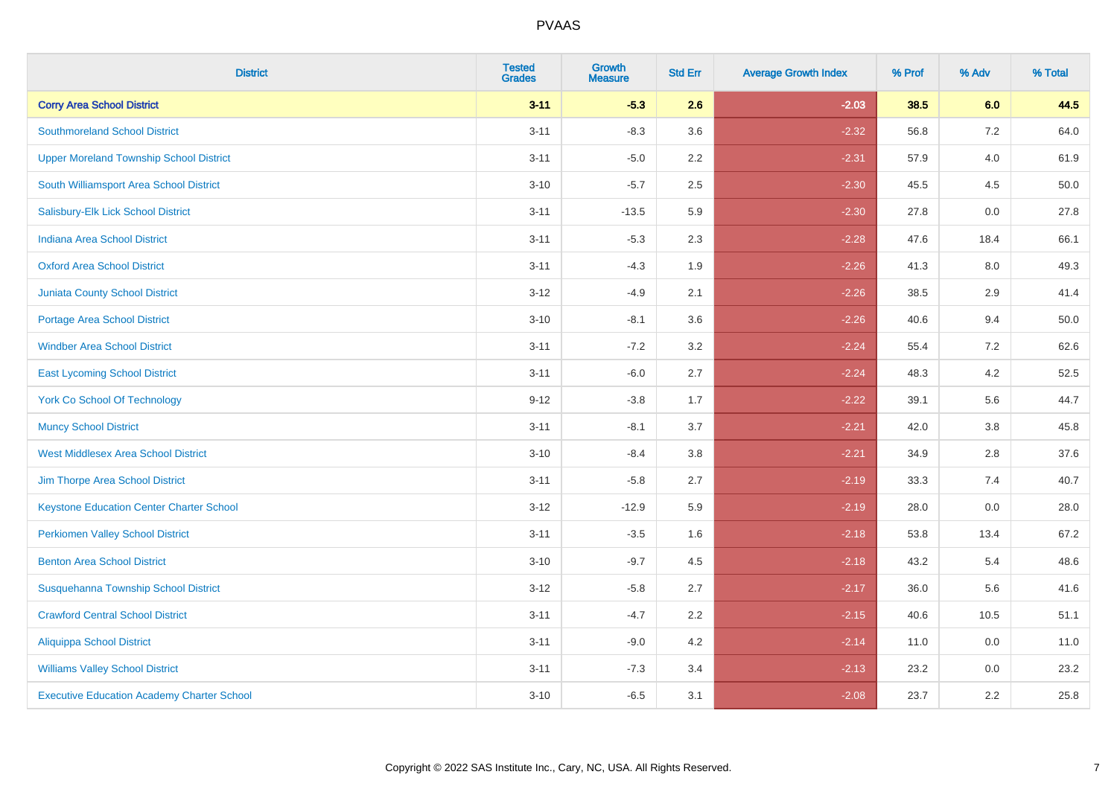| <b>District</b>                                   | <b>Tested</b><br><b>Grades</b> | <b>Growth</b><br><b>Measure</b> | <b>Std Err</b> | <b>Average Growth Index</b> | % Prof | % Adv   | % Total |
|---------------------------------------------------|--------------------------------|---------------------------------|----------------|-----------------------------|--------|---------|---------|
| <b>Corry Area School District</b>                 | $3 - 11$                       | $-5.3$                          | 2.6            | $-2.03$                     | 38.5   | 6.0     | 44.5    |
| <b>Southmoreland School District</b>              | $3 - 11$                       | $-8.3$                          | 3.6            | $-2.32$                     | 56.8   | 7.2     | 64.0    |
| <b>Upper Moreland Township School District</b>    | $3 - 11$                       | $-5.0$                          | 2.2            | $-2.31$                     | 57.9   | 4.0     | 61.9    |
| South Williamsport Area School District           | $3 - 10$                       | $-5.7$                          | 2.5            | $-2.30$                     | 45.5   | 4.5     | 50.0    |
| Salisbury-Elk Lick School District                | $3 - 11$                       | $-13.5$                         | 5.9            | $-2.30$                     | 27.8   | 0.0     | 27.8    |
| <b>Indiana Area School District</b>               | $3 - 11$                       | $-5.3$                          | 2.3            | $-2.28$                     | 47.6   | 18.4    | 66.1    |
| <b>Oxford Area School District</b>                | $3 - 11$                       | $-4.3$                          | 1.9            | $-2.26$                     | 41.3   | $8.0\,$ | 49.3    |
| <b>Juniata County School District</b>             | $3 - 12$                       | $-4.9$                          | 2.1            | $-2.26$                     | 38.5   | 2.9     | 41.4    |
| Portage Area School District                      | $3 - 10$                       | $-8.1$                          | 3.6            | $-2.26$                     | 40.6   | 9.4     | 50.0    |
| <b>Windber Area School District</b>               | $3 - 11$                       | $-7.2$                          | 3.2            | $-2.24$                     | 55.4   | 7.2     | 62.6    |
| <b>East Lycoming School District</b>              | $3 - 11$                       | $-6.0$                          | 2.7            | $-2.24$                     | 48.3   | 4.2     | 52.5    |
| <b>York Co School Of Technology</b>               | $9 - 12$                       | $-3.8$                          | 1.7            | $-2.22$                     | 39.1   | 5.6     | 44.7    |
| <b>Muncy School District</b>                      | $3 - 11$                       | $-8.1$                          | 3.7            | $-2.21$                     | 42.0   | 3.8     | 45.8    |
| <b>West Middlesex Area School District</b>        | $3 - 10$                       | $-8.4$                          | 3.8            | $-2.21$                     | 34.9   | 2.8     | 37.6    |
| Jim Thorpe Area School District                   | $3 - 11$                       | $-5.8$                          | 2.7            | $-2.19$                     | 33.3   | 7.4     | 40.7    |
| <b>Keystone Education Center Charter School</b>   | $3 - 12$                       | $-12.9$                         | 5.9            | $-2.19$                     | 28.0   | 0.0     | 28.0    |
| <b>Perkiomen Valley School District</b>           | $3 - 11$                       | $-3.5$                          | 1.6            | $-2.18$                     | 53.8   | 13.4    | 67.2    |
| <b>Benton Area School District</b>                | $3 - 10$                       | $-9.7$                          | 4.5            | $-2.18$                     | 43.2   | 5.4     | 48.6    |
| Susquehanna Township School District              | $3 - 12$                       | $-5.8$                          | 2.7            | $-2.17$                     | 36.0   | 5.6     | 41.6    |
| <b>Crawford Central School District</b>           | $3 - 11$                       | $-4.7$                          | 2.2            | $-2.15$                     | 40.6   | 10.5    | 51.1    |
| <b>Aliquippa School District</b>                  | $3 - 11$                       | $-9.0$                          | 4.2            | $-2.14$                     | 11.0   | 0.0     | 11.0    |
| <b>Williams Valley School District</b>            | $3 - 11$                       | $-7.3$                          | 3.4            | $-2.13$                     | 23.2   | 0.0     | 23.2    |
| <b>Executive Education Academy Charter School</b> | $3 - 10$                       | $-6.5$                          | 3.1            | $-2.08$                     | 23.7   | 2.2     | 25.8    |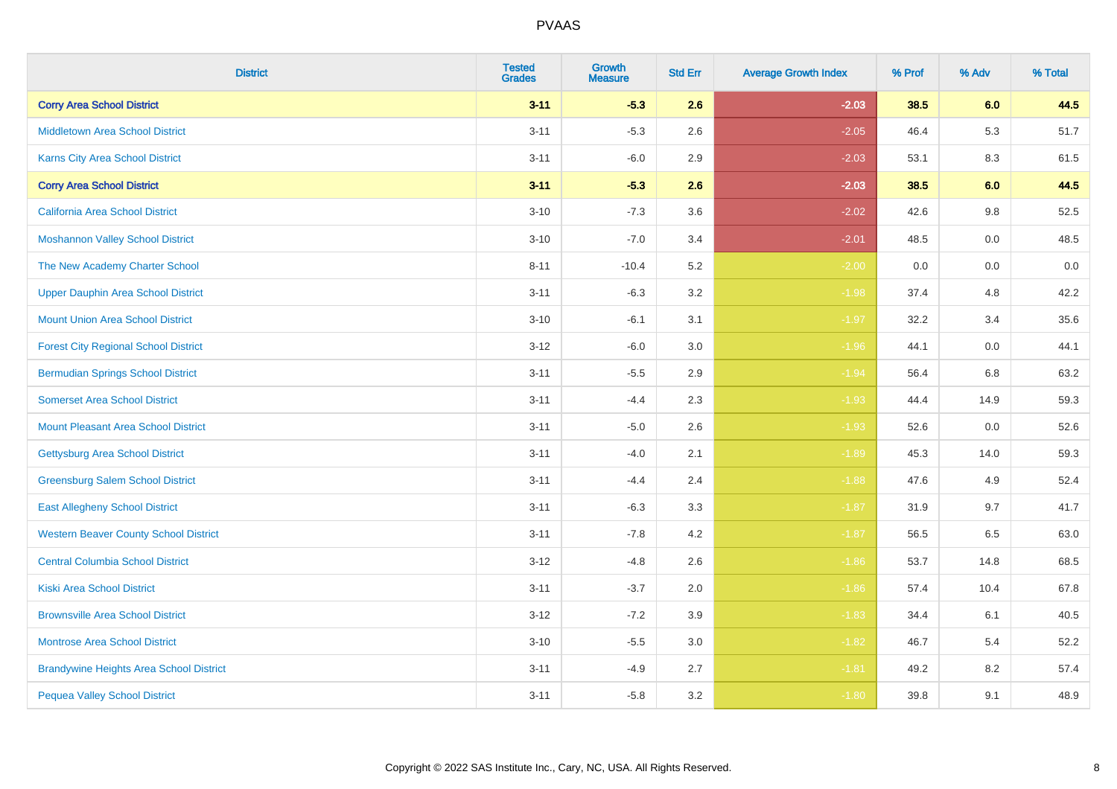| <b>District</b>                                | <b>Tested</b><br><b>Grades</b> | <b>Growth</b><br><b>Measure</b> | <b>Std Err</b> | <b>Average Growth Index</b> | % Prof | % Adv   | % Total |
|------------------------------------------------|--------------------------------|---------------------------------|----------------|-----------------------------|--------|---------|---------|
| <b>Corry Area School District</b>              | $3 - 11$                       | $-5.3$                          | 2.6            | $-2.03$                     | 38.5   | 6.0     | 44.5    |
| <b>Middletown Area School District</b>         | $3 - 11$                       | $-5.3$                          | 2.6            | $-2.05$                     | 46.4   | 5.3     | 51.7    |
| Karns City Area School District                | $3 - 11$                       | $-6.0$                          | 2.9            | $-2.03$                     | 53.1   | 8.3     | 61.5    |
| <b>Corry Area School District</b>              | $3 - 11$                       | $-5.3$                          | 2.6            | $-2.03$                     | 38.5   | 6.0     | 44.5    |
| <b>California Area School District</b>         | $3 - 10$                       | $-7.3$                          | 3.6            | $-2.02$                     | 42.6   | 9.8     | 52.5    |
| <b>Moshannon Valley School District</b>        | $3 - 10$                       | $-7.0$                          | 3.4            | $-2.01$                     | 48.5   | 0.0     | 48.5    |
| The New Academy Charter School                 | $8 - 11$                       | $-10.4$                         | 5.2            | $-2.00$                     | 0.0    | $0.0\,$ | $0.0\,$ |
| <b>Upper Dauphin Area School District</b>      | $3 - 11$                       | $-6.3$                          | 3.2            | $-1.98$                     | 37.4   | 4.8     | 42.2    |
| <b>Mount Union Area School District</b>        | $3 - 10$                       | $-6.1$                          | 3.1            | $-1.97$                     | 32.2   | 3.4     | 35.6    |
| <b>Forest City Regional School District</b>    | $3 - 12$                       | $-6.0$                          | 3.0            | $-1.96$                     | 44.1   | 0.0     | 44.1    |
| <b>Bermudian Springs School District</b>       | $3 - 11$                       | $-5.5$                          | 2.9            | $-1.94$                     | 56.4   | 6.8     | 63.2    |
| <b>Somerset Area School District</b>           | $3 - 11$                       | $-4.4$                          | 2.3            | $-1.93$                     | 44.4   | 14.9    | 59.3    |
| <b>Mount Pleasant Area School District</b>     | $3 - 11$                       | $-5.0$                          | 2.6            | $-1.93$                     | 52.6   | 0.0     | 52.6    |
| <b>Gettysburg Area School District</b>         | $3 - 11$                       | $-4.0$                          | 2.1            | $-1.89$                     | 45.3   | 14.0    | 59.3    |
| <b>Greensburg Salem School District</b>        | $3 - 11$                       | $-4.4$                          | 2.4            | $-1.88$                     | 47.6   | 4.9     | 52.4    |
| <b>East Allegheny School District</b>          | $3 - 11$                       | $-6.3$                          | 3.3            | $-1.87$                     | 31.9   | 9.7     | 41.7    |
| <b>Western Beaver County School District</b>   | $3 - 11$                       | $-7.8$                          | 4.2            | $-1.87$                     | 56.5   | 6.5     | 63.0    |
| <b>Central Columbia School District</b>        | $3 - 12$                       | $-4.8$                          | 2.6            | $-1.86$                     | 53.7   | 14.8    | 68.5    |
| <b>Kiski Area School District</b>              | $3 - 11$                       | $-3.7$                          | 2.0            | $-1.86$                     | 57.4   | 10.4    | 67.8    |
| <b>Brownsville Area School District</b>        | $3 - 12$                       | $-7.2$                          | 3.9            | $-1.83$                     | 34.4   | 6.1     | 40.5    |
| Montrose Area School District                  | $3 - 10$                       | $-5.5$                          | 3.0            | $-1.82$                     | 46.7   | 5.4     | 52.2    |
| <b>Brandywine Heights Area School District</b> | $3 - 11$                       | $-4.9$                          | 2.7            | $-1.81$                     | 49.2   | 8.2     | 57.4    |
| <b>Pequea Valley School District</b>           | $3 - 11$                       | $-5.8$                          | 3.2            | $-1.80$                     | 39.8   | 9.1     | 48.9    |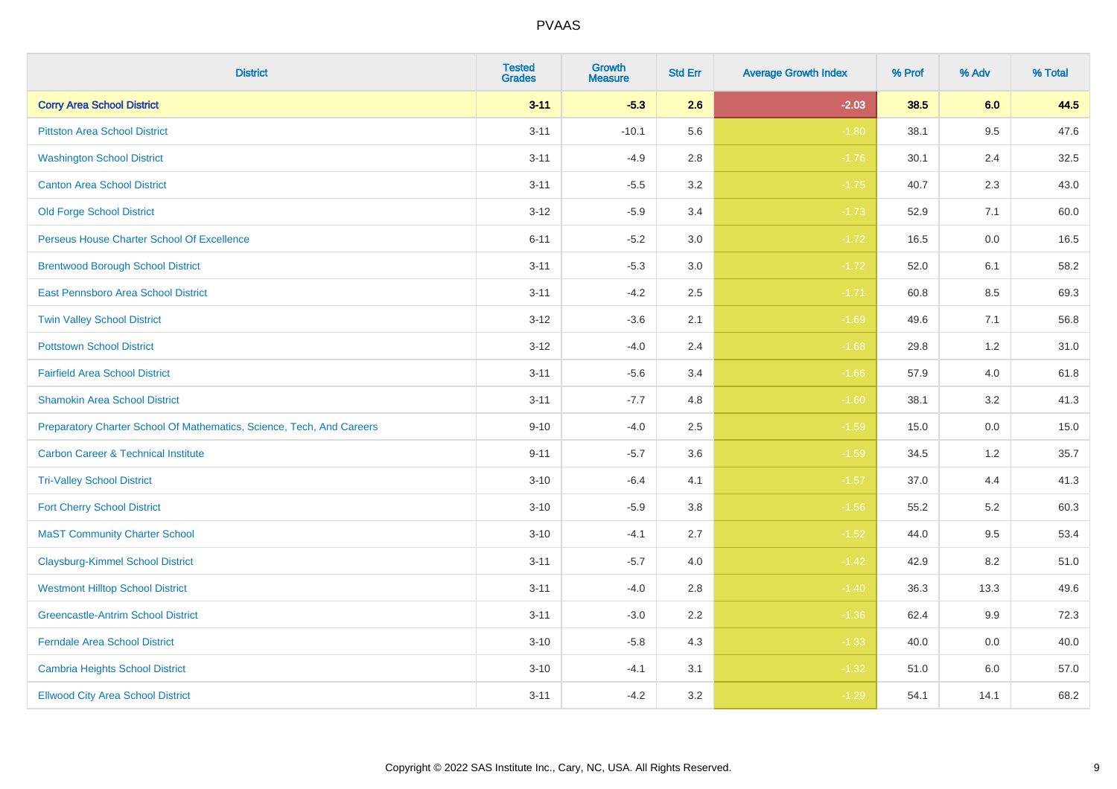| <b>District</b>                                                       | <b>Tested</b><br><b>Grades</b> | Growth<br><b>Measure</b> | <b>Std Err</b> | <b>Average Growth Index</b> | % Prof | % Adv   | % Total |
|-----------------------------------------------------------------------|--------------------------------|--------------------------|----------------|-----------------------------|--------|---------|---------|
| <b>Corry Area School District</b>                                     | $3 - 11$                       | $-5.3$                   | 2.6            | $-2.03$                     | 38.5   | 6.0     | 44.5    |
| <b>Pittston Area School District</b>                                  | $3 - 11$                       | $-10.1$                  | 5.6            | $-1.80$                     | 38.1   | 9.5     | 47.6    |
| <b>Washington School District</b>                                     | $3 - 11$                       | $-4.9$                   | 2.8            | $-1.76$                     | 30.1   | 2.4     | 32.5    |
| <b>Canton Area School District</b>                                    | $3 - 11$                       | $-5.5$                   | $3.2\,$        | $-1.75$                     | 40.7   | $2.3\,$ | 43.0    |
| Old Forge School District                                             | $3 - 12$                       | $-5.9$                   | 3.4            | $-1.73$                     | 52.9   | 7.1     | 60.0    |
| Perseus House Charter School Of Excellence                            | $6 - 11$                       | $-5.2$                   | 3.0            | $-1.72$                     | 16.5   | 0.0     | 16.5    |
| <b>Brentwood Borough School District</b>                              | $3 - 11$                       | $-5.3$                   | $3.0\,$        | $-1.72$                     | 52.0   | 6.1     | 58.2    |
| East Pennsboro Area School District                                   | $3 - 11$                       | $-4.2$                   | 2.5            | $-1.71$                     | 60.8   | 8.5     | 69.3    |
| <b>Twin Valley School District</b>                                    | $3 - 12$                       | $-3.6$                   | 2.1            | $-1.69$                     | 49.6   | 7.1     | 56.8    |
| <b>Pottstown School District</b>                                      | $3 - 12$                       | $-4.0$                   | 2.4            | $-1.68$                     | 29.8   | 1.2     | 31.0    |
| <b>Fairfield Area School District</b>                                 | $3 - 11$                       | $-5.6$                   | 3.4            | $-1.66$                     | 57.9   | 4.0     | 61.8    |
| <b>Shamokin Area School District</b>                                  | $3 - 11$                       | $-7.7$                   | 4.8            | $-1.60$                     | 38.1   | 3.2     | 41.3    |
| Preparatory Charter School Of Mathematics, Science, Tech, And Careers | $9 - 10$                       | $-4.0$                   | 2.5            | $-1.59$                     | 15.0   | 0.0     | 15.0    |
| <b>Carbon Career &amp; Technical Institute</b>                        | $9 - 11$                       | $-5.7$                   | 3.6            | $-1.59$                     | 34.5   | 1.2     | 35.7    |
| <b>Tri-Valley School District</b>                                     | $3 - 10$                       | $-6.4$                   | 4.1            | $-1.57$                     | 37.0   | 4.4     | 41.3    |
| <b>Fort Cherry School District</b>                                    | $3 - 10$                       | $-5.9$                   | 3.8            | $-1.56$                     | 55.2   | 5.2     | 60.3    |
| <b>MaST Community Charter School</b>                                  | $3 - 10$                       | $-4.1$                   | 2.7            | $-1.52$                     | 44.0   | 9.5     | 53.4    |
| <b>Claysburg-Kimmel School District</b>                               | $3 - 11$                       | $-5.7$                   | 4.0            | $-1.42$                     | 42.9   | 8.2     | 51.0    |
| <b>Westmont Hilltop School District</b>                               | $3 - 11$                       | $-4.0$                   | 2.8            | $-1.40$                     | 36.3   | 13.3    | 49.6    |
| <b>Greencastle-Antrim School District</b>                             | $3 - 11$                       | $-3.0$                   | 2.2            | $-1.36$                     | 62.4   | 9.9     | 72.3    |
| <b>Ferndale Area School District</b>                                  | $3 - 10$                       | $-5.8$                   | 4.3            | $-1.33$                     | 40.0   | 0.0     | 40.0    |
| <b>Cambria Heights School District</b>                                | $3 - 10$                       | $-4.1$                   | 3.1            | $-1.32$                     | 51.0   | 6.0     | 57.0    |
| <b>Ellwood City Area School District</b>                              | $3 - 11$                       | $-4.2$                   | 3.2            | $-1.29$                     | 54.1   | 14.1    | 68.2    |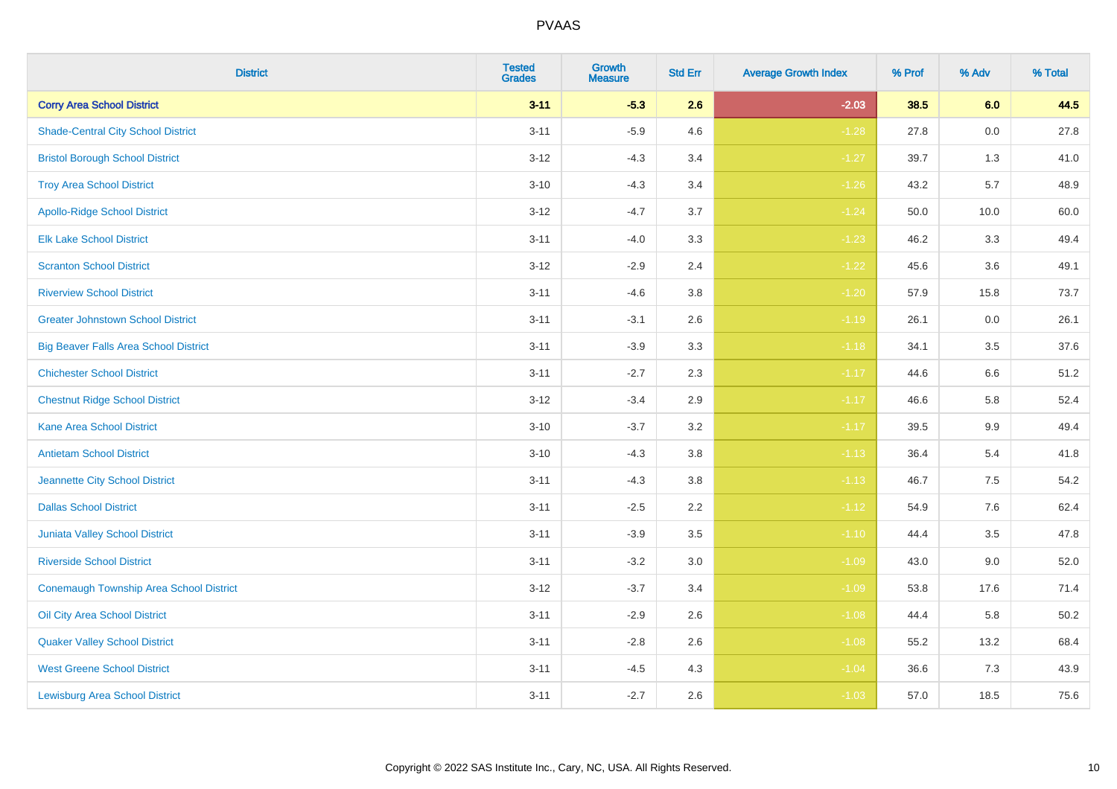| <b>District</b>                              | <b>Tested</b><br><b>Grades</b> | Growth<br><b>Measure</b> | <b>Std Err</b> | <b>Average Growth Index</b> | % Prof | % Adv   | % Total |
|----------------------------------------------|--------------------------------|--------------------------|----------------|-----------------------------|--------|---------|---------|
| <b>Corry Area School District</b>            | $3 - 11$                       | $-5.3$                   | 2.6            | $-2.03$                     | 38.5   | 6.0     | 44.5    |
| <b>Shade-Central City School District</b>    | $3 - 11$                       | $-5.9$                   | 4.6            | $-1.28$                     | 27.8   | 0.0     | 27.8    |
| <b>Bristol Borough School District</b>       | $3 - 12$                       | $-4.3$                   | 3.4            | $-1.27$                     | 39.7   | 1.3     | 41.0    |
| <b>Troy Area School District</b>             | $3 - 10$                       | $-4.3$                   | 3.4            | $-1.26$                     | 43.2   | 5.7     | 48.9    |
| <b>Apollo-Ridge School District</b>          | $3 - 12$                       | $-4.7$                   | 3.7            | $-1.24$                     | 50.0   | 10.0    | 60.0    |
| <b>Elk Lake School District</b>              | $3 - 11$                       | $-4.0$                   | 3.3            | $-1.23$                     | 46.2   | 3.3     | 49.4    |
| <b>Scranton School District</b>              | $3 - 12$                       | $-2.9$                   | 2.4            | $-1.22$                     | 45.6   | 3.6     | 49.1    |
| <b>Riverview School District</b>             | $3 - 11$                       | $-4.6$                   | 3.8            | $-1.20$                     | 57.9   | 15.8    | 73.7    |
| <b>Greater Johnstown School District</b>     | $3 - 11$                       | $-3.1$                   | 2.6            | $-1.19$                     | 26.1   | 0.0     | 26.1    |
| <b>Big Beaver Falls Area School District</b> | $3 - 11$                       | $-3.9$                   | 3.3            | $-1.18$                     | 34.1   | 3.5     | 37.6    |
| <b>Chichester School District</b>            | $3 - 11$                       | $-2.7$                   | 2.3            | $-1.17$                     | 44.6   | 6.6     | 51.2    |
| <b>Chestnut Ridge School District</b>        | $3 - 12$                       | $-3.4$                   | 2.9            | $-1.17$                     | 46.6   | 5.8     | 52.4    |
| <b>Kane Area School District</b>             | $3 - 10$                       | $-3.7$                   | 3.2            | $-1.17$                     | 39.5   | 9.9     | 49.4    |
| <b>Antietam School District</b>              | $3 - 10$                       | $-4.3$                   | 3.8            | $-1.13$                     | 36.4   | 5.4     | 41.8    |
| Jeannette City School District               | $3 - 11$                       | $-4.3$                   | 3.8            | $-1.13$                     | 46.7   | 7.5     | 54.2    |
| <b>Dallas School District</b>                | $3 - 11$                       | $-2.5$                   | 2.2            | $-1.12$                     | 54.9   | $7.6\,$ | 62.4    |
| Juniata Valley School District               | $3 - 11$                       | $-3.9$                   | 3.5            | $-1.10$                     | 44.4   | 3.5     | 47.8    |
| <b>Riverside School District</b>             | $3 - 11$                       | $-3.2$                   | 3.0            | $-1.09$                     | 43.0   | 9.0     | 52.0    |
| Conemaugh Township Area School District      | $3 - 12$                       | $-3.7$                   | 3.4            | $-1.09$                     | 53.8   | 17.6    | 71.4    |
| Oil City Area School District                | $3 - 11$                       | $-2.9$                   | 2.6            | $-1.08$                     | 44.4   | 5.8     | 50.2    |
| <b>Quaker Valley School District</b>         | $3 - 11$                       | $-2.8$                   | 2.6            | $-1.08$                     | 55.2   | 13.2    | 68.4    |
| <b>West Greene School District</b>           | $3 - 11$                       | $-4.5$                   | 4.3            | $-1.04$                     | 36.6   | 7.3     | 43.9    |
| <b>Lewisburg Area School District</b>        | $3 - 11$                       | $-2.7$                   | 2.6            | $-1.03$                     | 57.0   | 18.5    | 75.6    |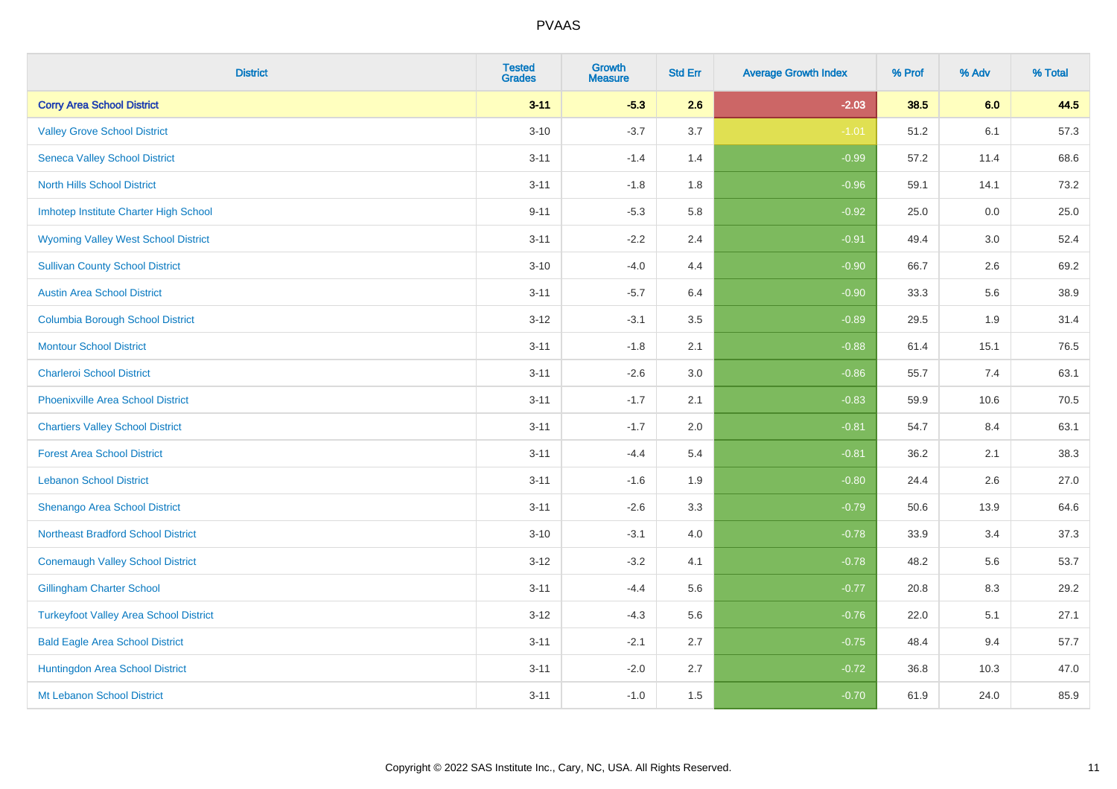| <b>District</b>                               | <b>Tested</b><br><b>Grades</b> | <b>Growth</b><br><b>Measure</b> | <b>Std Err</b> | <b>Average Growth Index</b> | % Prof | % Adv | % Total |
|-----------------------------------------------|--------------------------------|---------------------------------|----------------|-----------------------------|--------|-------|---------|
| <b>Corry Area School District</b>             | $3 - 11$                       | $-5.3$                          | 2.6            | $-2.03$                     | 38.5   | 6.0   | 44.5    |
| <b>Valley Grove School District</b>           | $3 - 10$                       | $-3.7$                          | 3.7            | $-1.01$                     | 51.2   | 6.1   | 57.3    |
| <b>Seneca Valley School District</b>          | $3 - 11$                       | $-1.4$                          | 1.4            | $-0.99$                     | 57.2   | 11.4  | 68.6    |
| <b>North Hills School District</b>            | $3 - 11$                       | $-1.8$                          | 1.8            | $-0.96$                     | 59.1   | 14.1  | 73.2    |
| Imhotep Institute Charter High School         | $9 - 11$                       | $-5.3$                          | 5.8            | $-0.92$                     | 25.0   | 0.0   | 25.0    |
| <b>Wyoming Valley West School District</b>    | $3 - 11$                       | $-2.2$                          | 2.4            | $-0.91$                     | 49.4   | 3.0   | 52.4    |
| <b>Sullivan County School District</b>        | $3 - 10$                       | $-4.0$                          | 4.4            | $-0.90$                     | 66.7   | 2.6   | 69.2    |
| <b>Austin Area School District</b>            | $3 - 11$                       | $-5.7$                          | 6.4            | $-0.90$                     | 33.3   | 5.6   | 38.9    |
| <b>Columbia Borough School District</b>       | $3 - 12$                       | $-3.1$                          | 3.5            | $-0.89$                     | 29.5   | 1.9   | 31.4    |
| <b>Montour School District</b>                | $3 - 11$                       | $-1.8$                          | 2.1            | $-0.88$                     | 61.4   | 15.1  | 76.5    |
| <b>Charleroi School District</b>              | $3 - 11$                       | $-2.6$                          | 3.0            | $-0.86$                     | 55.7   | 7.4   | 63.1    |
| <b>Phoenixville Area School District</b>      | $3 - 11$                       | $-1.7$                          | 2.1            | $-0.83$                     | 59.9   | 10.6  | 70.5    |
| <b>Chartiers Valley School District</b>       | $3 - 11$                       | $-1.7$                          | 2.0            | $-0.81$                     | 54.7   | 8.4   | 63.1    |
| <b>Forest Area School District</b>            | $3 - 11$                       | $-4.4$                          | 5.4            | $-0.81$                     | 36.2   | 2.1   | 38.3    |
| <b>Lebanon School District</b>                | $3 - 11$                       | $-1.6$                          | 1.9            | $-0.80$                     | 24.4   | 2.6   | 27.0    |
| Shenango Area School District                 | $3 - 11$                       | $-2.6$                          | 3.3            | $-0.79$                     | 50.6   | 13.9  | 64.6    |
| <b>Northeast Bradford School District</b>     | $3 - 10$                       | $-3.1$                          | 4.0            | $-0.78$                     | 33.9   | 3.4   | 37.3    |
| <b>Conemaugh Valley School District</b>       | $3 - 12$                       | $-3.2$                          | 4.1            | $-0.78$                     | 48.2   | 5.6   | 53.7    |
| <b>Gillingham Charter School</b>              | $3 - 11$                       | $-4.4$                          | 5.6            | $-0.77$                     | 20.8   | 8.3   | 29.2    |
| <b>Turkeyfoot Valley Area School District</b> | $3-12$                         | $-4.3$                          | 5.6            | $-0.76$                     | 22.0   | 5.1   | 27.1    |
| <b>Bald Eagle Area School District</b>        | $3 - 11$                       | $-2.1$                          | 2.7            | $-0.75$                     | 48.4   | 9.4   | 57.7    |
| Huntingdon Area School District               | $3 - 11$                       | $-2.0$                          | 2.7            | $-0.72$                     | 36.8   | 10.3  | 47.0    |
| Mt Lebanon School District                    | $3 - 11$                       | $-1.0$                          | 1.5            | $-0.70$                     | 61.9   | 24.0  | 85.9    |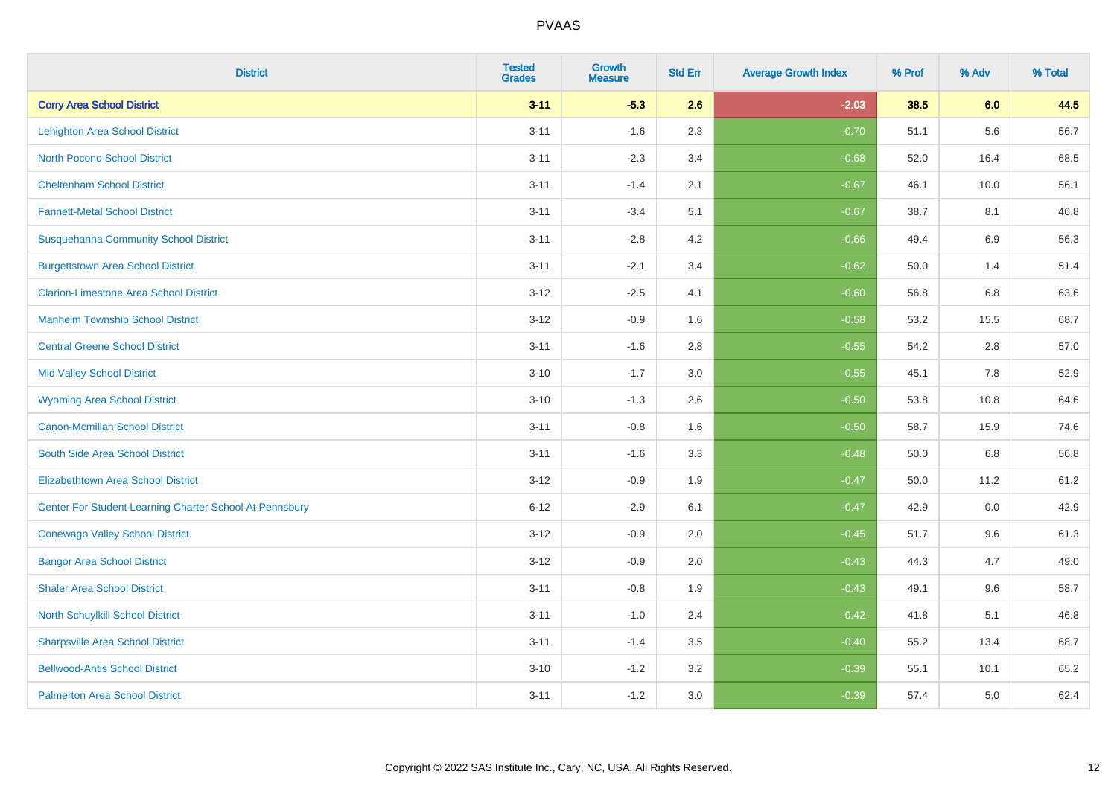| <b>District</b>                                         | <b>Tested</b><br><b>Grades</b> | Growth<br><b>Measure</b> | <b>Std Err</b> | <b>Average Growth Index</b> | % Prof | % Adv   | % Total |
|---------------------------------------------------------|--------------------------------|--------------------------|----------------|-----------------------------|--------|---------|---------|
| <b>Corry Area School District</b>                       | $3 - 11$                       | $-5.3$                   | 2.6            | $-2.03$                     | 38.5   | 6.0     | 44.5    |
| <b>Lehighton Area School District</b>                   | $3 - 11$                       | $-1.6$                   | 2.3            | $-0.70$                     | 51.1   | 5.6     | 56.7    |
| <b>North Pocono School District</b>                     | $3 - 11$                       | $-2.3$                   | 3.4            | $-0.68$                     | 52.0   | 16.4    | 68.5    |
| <b>Cheltenham School District</b>                       | $3 - 11$                       | $-1.4$                   | 2.1            | $-0.67$                     | 46.1   | 10.0    | 56.1    |
| <b>Fannett-Metal School District</b>                    | $3 - 11$                       | $-3.4$                   | 5.1            | $-0.67$                     | 38.7   | 8.1     | 46.8    |
| <b>Susquehanna Community School District</b>            | $3 - 11$                       | $-2.8$                   | 4.2            | $-0.66$                     | 49.4   | 6.9     | 56.3    |
| <b>Burgettstown Area School District</b>                | $3 - 11$                       | $-2.1$                   | 3.4            | $-0.62$                     | 50.0   | 1.4     | 51.4    |
| <b>Clarion-Limestone Area School District</b>           | $3 - 12$                       | $-2.5$                   | 4.1            | $-0.60$                     | 56.8   | 6.8     | 63.6    |
| <b>Manheim Township School District</b>                 | $3 - 12$                       | $-0.9$                   | 1.6            | $-0.58$                     | 53.2   | 15.5    | 68.7    |
| <b>Central Greene School District</b>                   | $3 - 11$                       | $-1.6$                   | 2.8            | $-0.55$                     | 54.2   | 2.8     | 57.0    |
| <b>Mid Valley School District</b>                       | $3 - 10$                       | $-1.7$                   | 3.0            | $-0.55$                     | 45.1   | $7.8\,$ | 52.9    |
| <b>Wyoming Area School District</b>                     | $3 - 10$                       | $-1.3$                   | 2.6            | $-0.50$                     | 53.8   | 10.8    | 64.6    |
| <b>Canon-Mcmillan School District</b>                   | $3 - 11$                       | $-0.8$                   | 1.6            | $-0.50$                     | 58.7   | 15.9    | 74.6    |
| South Side Area School District                         | $3 - 11$                       | $-1.6$                   | 3.3            | $-0.48$                     | 50.0   | 6.8     | 56.8    |
| <b>Elizabethtown Area School District</b>               | $3 - 12$                       | $-0.9$                   | 1.9            | $-0.47$                     | 50.0   | 11.2    | 61.2    |
| Center For Student Learning Charter School At Pennsbury | $6 - 12$                       | $-2.9$                   | 6.1            | $-0.47$                     | 42.9   | 0.0     | 42.9    |
| <b>Conewago Valley School District</b>                  | $3 - 12$                       | $-0.9$                   | 2.0            | $-0.45$                     | 51.7   | 9.6     | 61.3    |
| <b>Bangor Area School District</b>                      | $3 - 12$                       | $-0.9$                   | 2.0            | $-0.43$                     | 44.3   | 4.7     | 49.0    |
| <b>Shaler Area School District</b>                      | $3 - 11$                       | $-0.8$                   | 1.9            | $-0.43$                     | 49.1   | 9.6     | 58.7    |
| North Schuylkill School District                        | $3 - 11$                       | $-1.0$                   | 2.4            | $-0.42$                     | 41.8   | 5.1     | 46.8    |
| <b>Sharpsville Area School District</b>                 | $3 - 11$                       | $-1.4$                   | 3.5            | $-0.40$                     | 55.2   | 13.4    | 68.7    |
| <b>Bellwood-Antis School District</b>                   | $3 - 10$                       | $-1.2$                   | 3.2            | $-0.39$                     | 55.1   | 10.1    | 65.2    |
| <b>Palmerton Area School District</b>                   | $3 - 11$                       | $-1.2$                   | 3.0            | $-0.39$                     | 57.4   | 5.0     | 62.4    |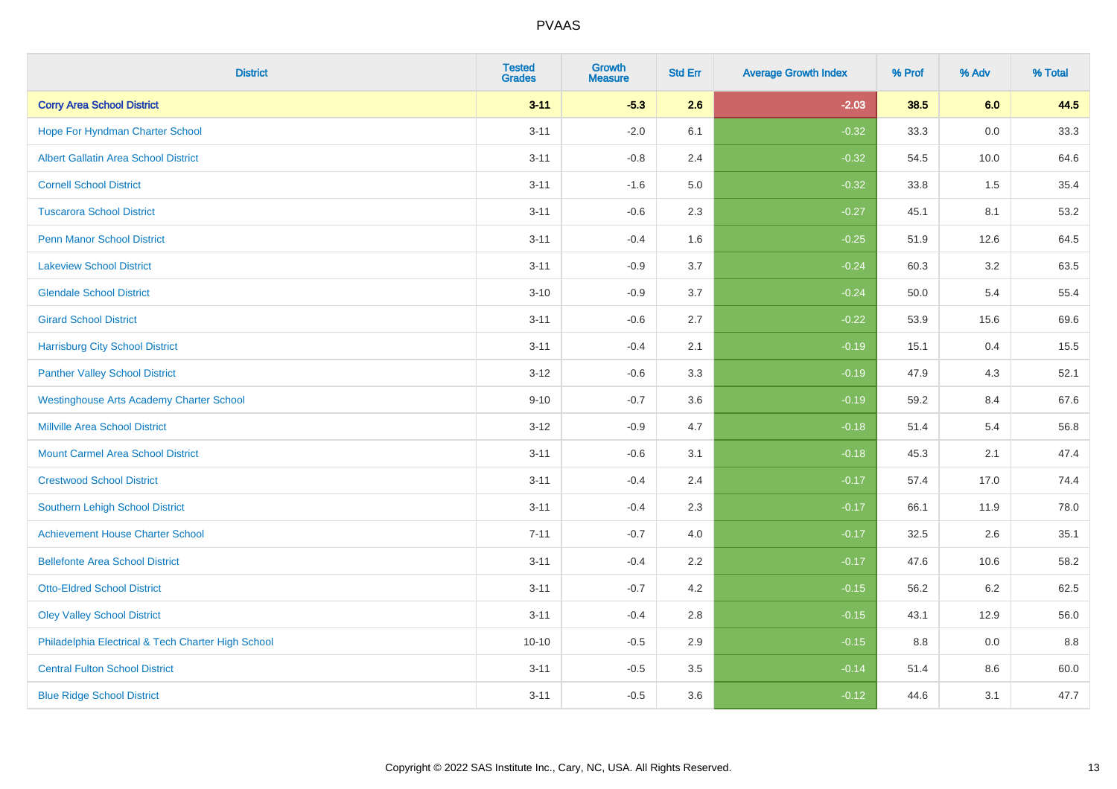| <b>District</b>                                    | <b>Tested</b><br><b>Grades</b> | Growth<br><b>Measure</b> | <b>Std Err</b> | <b>Average Growth Index</b> | % Prof | % Adv   | % Total |
|----------------------------------------------------|--------------------------------|--------------------------|----------------|-----------------------------|--------|---------|---------|
| <b>Corry Area School District</b>                  | $3 - 11$                       | $-5.3$                   | 2.6            | $-2.03$                     | 38.5   | 6.0     | 44.5    |
| Hope For Hyndman Charter School                    | $3 - 11$                       | $-2.0$                   | 6.1            | $-0.32$                     | 33.3   | 0.0     | 33.3    |
| <b>Albert Gallatin Area School District</b>        | $3 - 11$                       | $-0.8$                   | 2.4            | $-0.32$                     | 54.5   | 10.0    | 64.6    |
| <b>Cornell School District</b>                     | $3 - 11$                       | $-1.6$                   | 5.0            | $-0.32$                     | 33.8   | 1.5     | 35.4    |
| <b>Tuscarora School District</b>                   | $3 - 11$                       | $-0.6$                   | 2.3            | $-0.27$                     | 45.1   | 8.1     | 53.2    |
| <b>Penn Manor School District</b>                  | $3 - 11$                       | $-0.4$                   | 1.6            | $-0.25$                     | 51.9   | 12.6    | 64.5    |
| <b>Lakeview School District</b>                    | $3 - 11$                       | $-0.9$                   | 3.7            | $-0.24$                     | 60.3   | 3.2     | 63.5    |
| <b>Glendale School District</b>                    | $3 - 10$                       | $-0.9$                   | 3.7            | $-0.24$                     | 50.0   | 5.4     | 55.4    |
| <b>Girard School District</b>                      | $3 - 11$                       | $-0.6$                   | 2.7            | $-0.22$                     | 53.9   | 15.6    | 69.6    |
| <b>Harrisburg City School District</b>             | $3 - 11$                       | $-0.4$                   | 2.1            | $-0.19$                     | 15.1   | 0.4     | 15.5    |
| <b>Panther Valley School District</b>              | $3 - 12$                       | $-0.6$                   | 3.3            | $-0.19$                     | 47.9   | 4.3     | 52.1    |
| <b>Westinghouse Arts Academy Charter School</b>    | $9 - 10$                       | $-0.7$                   | 3.6            | $-0.19$                     | 59.2   | 8.4     | 67.6    |
| <b>Millville Area School District</b>              | $3 - 12$                       | $-0.9$                   | 4.7            | $-0.18$                     | 51.4   | 5.4     | 56.8    |
| <b>Mount Carmel Area School District</b>           | $3 - 11$                       | $-0.6$                   | 3.1            | $-0.18$                     | 45.3   | 2.1     | 47.4    |
| <b>Crestwood School District</b>                   | $3 - 11$                       | $-0.4$                   | 2.4            | $-0.17$                     | 57.4   | 17.0    | 74.4    |
| Southern Lehigh School District                    | $3 - 11$                       | $-0.4$                   | 2.3            | $-0.17$                     | 66.1   | 11.9    | 78.0    |
| <b>Achievement House Charter School</b>            | $7 - 11$                       | $-0.7$                   | 4.0            | $-0.17$                     | 32.5   | 2.6     | 35.1    |
| <b>Bellefonte Area School District</b>             | $3 - 11$                       | $-0.4$                   | 2.2            | $-0.17$                     | 47.6   | 10.6    | 58.2    |
| <b>Otto-Eldred School District</b>                 | $3 - 11$                       | $-0.7$                   | 4.2            | $-0.15$                     | 56.2   | $6.2\,$ | 62.5    |
| <b>Oley Valley School District</b>                 | $3 - 11$                       | $-0.4$                   | 2.8            | $-0.15$                     | 43.1   | 12.9    | 56.0    |
| Philadelphia Electrical & Tech Charter High School | $10 - 10$                      | $-0.5$                   | 2.9            | $-0.15$                     | 8.8    | 0.0     | 8.8     |
| <b>Central Fulton School District</b>              | $3 - 11$                       | $-0.5$                   | 3.5            | $-0.14$                     | 51.4   | 8.6     | 60.0    |
| <b>Blue Ridge School District</b>                  | $3 - 11$                       | $-0.5$                   | 3.6            | $-0.12$                     | 44.6   | 3.1     | 47.7    |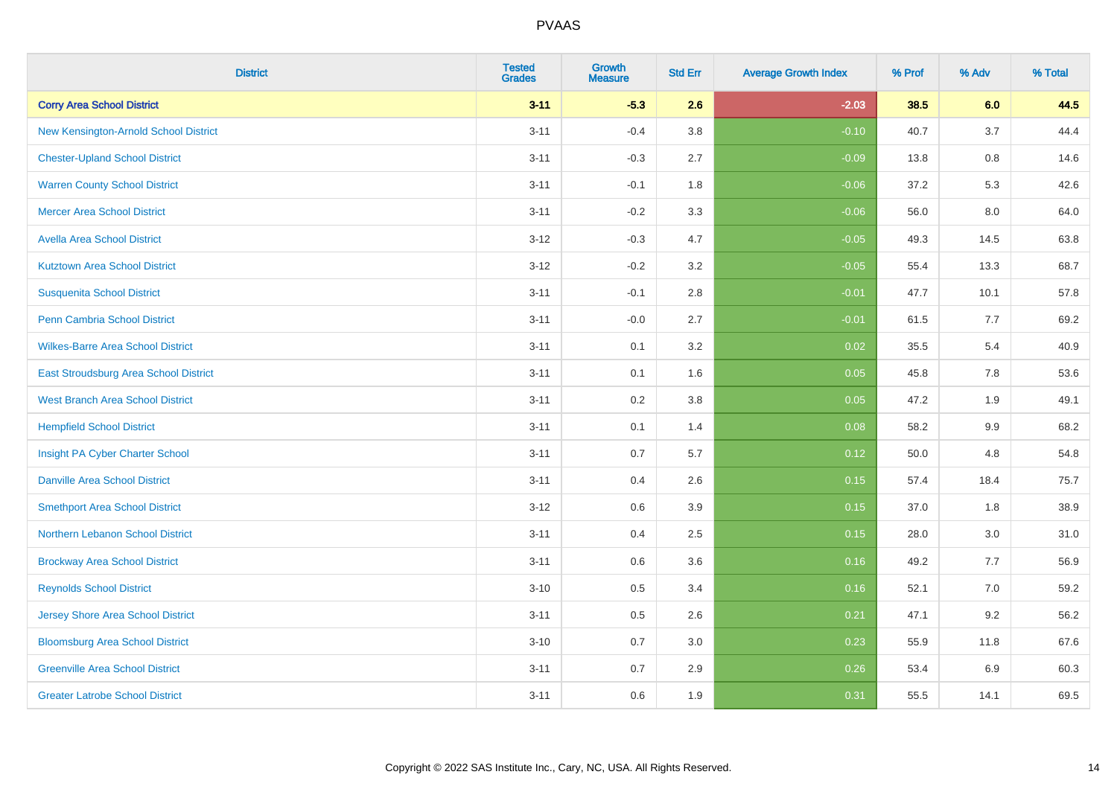| <b>District</b>                          | <b>Tested</b><br><b>Grades</b> | Growth<br><b>Measure</b> | <b>Std Err</b> | <b>Average Growth Index</b> | % Prof | % Adv   | % Total |
|------------------------------------------|--------------------------------|--------------------------|----------------|-----------------------------|--------|---------|---------|
| <b>Corry Area School District</b>        | $3 - 11$                       | $-5.3$                   | 2.6            | $-2.03$                     | 38.5   | 6.0     | 44.5    |
| New Kensington-Arnold School District    | $3 - 11$                       | $-0.4$                   | 3.8            | $-0.10$                     | 40.7   | 3.7     | 44.4    |
| <b>Chester-Upland School District</b>    | $3 - 11$                       | $-0.3$                   | 2.7            | $-0.09$                     | 13.8   | 0.8     | 14.6    |
| <b>Warren County School District</b>     | $3 - 11$                       | $-0.1$                   | 1.8            | $-0.06$                     | 37.2   | 5.3     | 42.6    |
| <b>Mercer Area School District</b>       | $3 - 11$                       | $-0.2$                   | 3.3            | $-0.06$                     | 56.0   | 8.0     | 64.0    |
| <b>Avella Area School District</b>       | $3 - 12$                       | $-0.3$                   | 4.7            | $-0.05$                     | 49.3   | 14.5    | 63.8    |
| <b>Kutztown Area School District</b>     | $3 - 12$                       | $-0.2$                   | 3.2            | $-0.05$                     | 55.4   | 13.3    | 68.7    |
| <b>Susquenita School District</b>        | $3 - 11$                       | $-0.1$                   | 2.8            | $-0.01$                     | 47.7   | 10.1    | 57.8    |
| <b>Penn Cambria School District</b>      | $3 - 11$                       | $-0.0$                   | 2.7            | $-0.01$                     | 61.5   | 7.7     | 69.2    |
| <b>Wilkes-Barre Area School District</b> | $3 - 11$                       | 0.1                      | 3.2            | 0.02                        | 35.5   | 5.4     | 40.9    |
| East Stroudsburg Area School District    | $3 - 11$                       | 0.1                      | 1.6            | 0.05                        | 45.8   | 7.8     | 53.6    |
| <b>West Branch Area School District</b>  | $3 - 11$                       | 0.2                      | 3.8            | 0.05                        | 47.2   | 1.9     | 49.1    |
| <b>Hempfield School District</b>         | $3 - 11$                       | 0.1                      | 1.4            | 0.08                        | 58.2   | $9.9\,$ | 68.2    |
| Insight PA Cyber Charter School          | $3 - 11$                       | 0.7                      | 5.7            | 0.12                        | 50.0   | 4.8     | 54.8    |
| <b>Danville Area School District</b>     | $3 - 11$                       | 0.4                      | 2.6            | 0.15                        | 57.4   | 18.4    | 75.7    |
| <b>Smethport Area School District</b>    | $3 - 12$                       | 0.6                      | 3.9            | 0.15                        | 37.0   | 1.8     | 38.9    |
| Northern Lebanon School District         | $3 - 11$                       | 0.4                      | 2.5            | 0.15                        | 28.0   | 3.0     | 31.0    |
| <b>Brockway Area School District</b>     | $3 - 11$                       | 0.6                      | 3.6            | 0.16                        | 49.2   | 7.7     | 56.9    |
| <b>Reynolds School District</b>          | $3 - 10$                       | 0.5                      | 3.4            | 0.16                        | 52.1   | 7.0     | 59.2    |
| <b>Jersey Shore Area School District</b> | $3 - 11$                       | 0.5                      | 2.6            | 0.21                        | 47.1   | 9.2     | 56.2    |
| <b>Bloomsburg Area School District</b>   | $3 - 10$                       | 0.7                      | 3.0            | 0.23                        | 55.9   | 11.8    | 67.6    |
| <b>Greenville Area School District</b>   | $3 - 11$                       | 0.7                      | 2.9            | 0.26                        | 53.4   | 6.9     | 60.3    |
| <b>Greater Latrobe School District</b>   | $3 - 11$                       | 0.6                      | 1.9            | 0.31                        | 55.5   | 14.1    | 69.5    |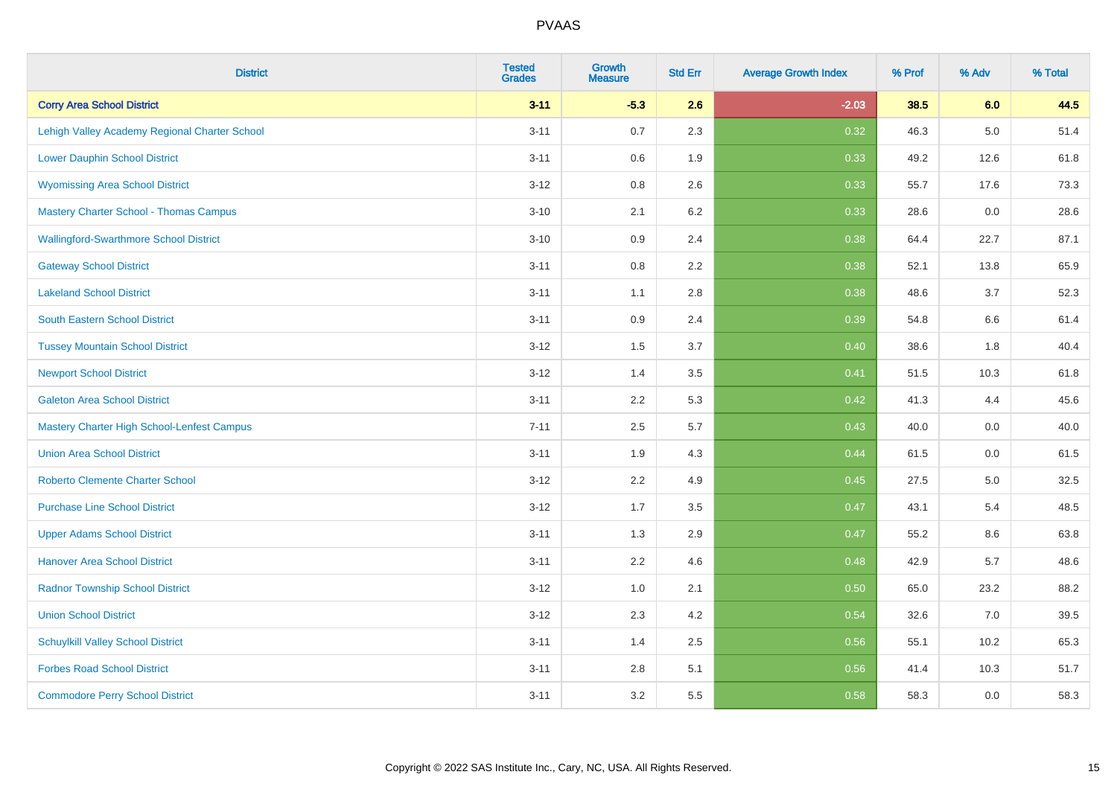| <b>District</b>                                   | <b>Tested</b><br><b>Grades</b> | <b>Growth</b><br><b>Measure</b> | <b>Std Err</b> | <b>Average Growth Index</b> | % Prof | % Adv   | % Total |
|---------------------------------------------------|--------------------------------|---------------------------------|----------------|-----------------------------|--------|---------|---------|
| <b>Corry Area School District</b>                 | $3 - 11$                       | $-5.3$                          | 2.6            | $-2.03$                     | 38.5   | 6.0     | 44.5    |
| Lehigh Valley Academy Regional Charter School     | $3 - 11$                       | 0.7                             | 2.3            | 0.32                        | 46.3   | $5.0\,$ | 51.4    |
| <b>Lower Dauphin School District</b>              | $3 - 11$                       | 0.6                             | 1.9            | 0.33                        | 49.2   | 12.6    | 61.8    |
| <b>Wyomissing Area School District</b>            | $3 - 12$                       | 0.8                             | 2.6            | 0.33                        | 55.7   | 17.6    | 73.3    |
| <b>Mastery Charter School - Thomas Campus</b>     | $3 - 10$                       | 2.1                             | 6.2            | 0.33                        | 28.6   | 0.0     | 28.6    |
| <b>Wallingford-Swarthmore School District</b>     | $3 - 10$                       | 0.9                             | 2.4            | 0.38                        | 64.4   | 22.7    | 87.1    |
| <b>Gateway School District</b>                    | $3 - 11$                       | 0.8                             | 2.2            | 0.38                        | 52.1   | 13.8    | 65.9    |
| <b>Lakeland School District</b>                   | $3 - 11$                       | 1.1                             | 2.8            | 0.38                        | 48.6   | 3.7     | 52.3    |
| <b>South Eastern School District</b>              | $3 - 11$                       | 0.9                             | 2.4            | 0.39                        | 54.8   | 6.6     | 61.4    |
| <b>Tussey Mountain School District</b>            | $3 - 12$                       | 1.5                             | 3.7            | 0.40                        | 38.6   | 1.8     | 40.4    |
| <b>Newport School District</b>                    | $3 - 12$                       | 1.4                             | 3.5            | 0.41                        | 51.5   | 10.3    | 61.8    |
| <b>Galeton Area School District</b>               | $3 - 11$                       | 2.2                             | 5.3            | 0.42                        | 41.3   | 4.4     | 45.6    |
| <b>Mastery Charter High School-Lenfest Campus</b> | $7 - 11$                       | 2.5                             | 5.7            | 0.43                        | 40.0   | $0.0\,$ | 40.0    |
| <b>Union Area School District</b>                 | $3 - 11$                       | 1.9                             | 4.3            | 0.44                        | 61.5   | 0.0     | 61.5    |
| <b>Roberto Clemente Charter School</b>            | $3 - 12$                       | 2.2                             | 4.9            | $\boxed{0.45}$              | 27.5   | $5.0\,$ | 32.5    |
| <b>Purchase Line School District</b>              | $3 - 12$                       | 1.7                             | 3.5            | 0.47                        | 43.1   | 5.4     | 48.5    |
| <b>Upper Adams School District</b>                | $3 - 11$                       | 1.3                             | 2.9            | 0.47                        | 55.2   | 8.6     | 63.8    |
| <b>Hanover Area School District</b>               | $3 - 11$                       | 2.2                             | 4.6            | 0.48                        | 42.9   | 5.7     | 48.6    |
| <b>Radnor Township School District</b>            | $3 - 12$                       | 1.0                             | 2.1            | 0.50                        | 65.0   | 23.2    | 88.2    |
| <b>Union School District</b>                      | $3 - 12$                       | 2.3                             | 4.2            | 0.54                        | 32.6   | 7.0     | 39.5    |
| <b>Schuylkill Valley School District</b>          | $3 - 11$                       | 1.4                             | 2.5            | 0.56                        | 55.1   | 10.2    | 65.3    |
| <b>Forbes Road School District</b>                | $3 - 11$                       | $2.8\,$                         | 5.1            | 0.56                        | 41.4   | 10.3    | 51.7    |
| <b>Commodore Perry School District</b>            | $3 - 11$                       | 3.2                             | 5.5            | 0.58                        | 58.3   | 0.0     | 58.3    |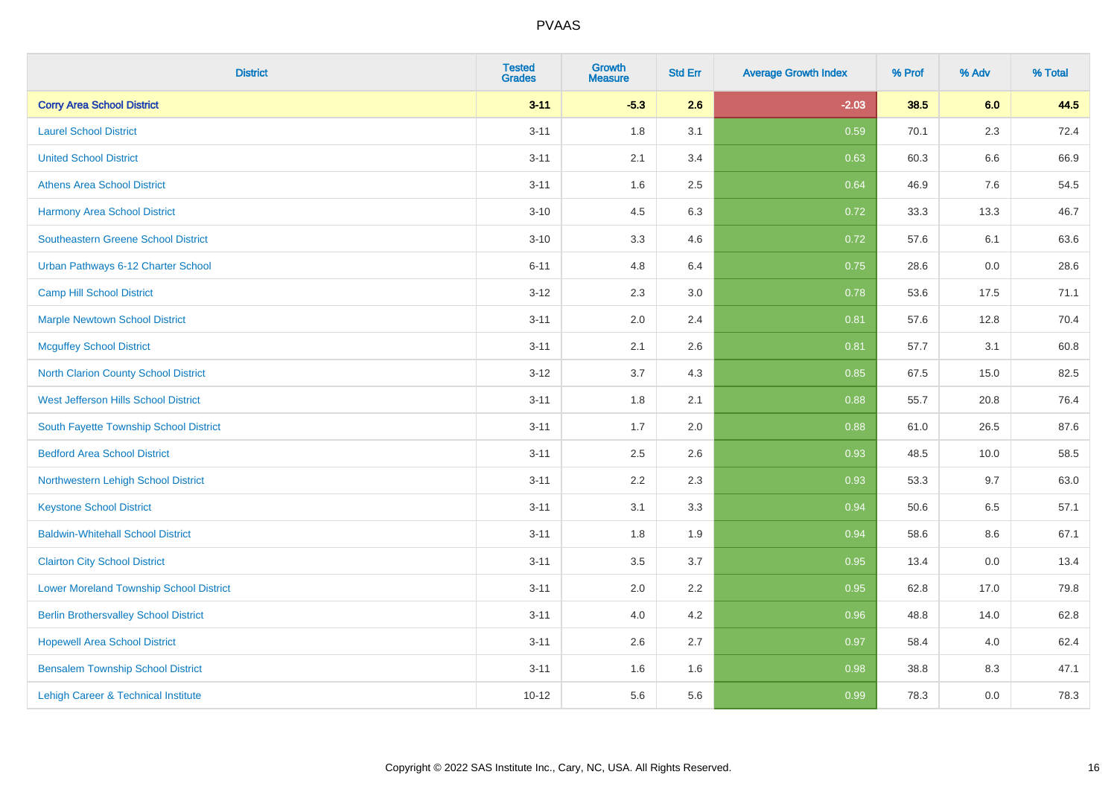| <b>District</b>                                | <b>Tested</b><br><b>Grades</b> | <b>Growth</b><br><b>Measure</b> | <b>Std Err</b> | <b>Average Growth Index</b> | % Prof | % Adv   | % Total |
|------------------------------------------------|--------------------------------|---------------------------------|----------------|-----------------------------|--------|---------|---------|
| <b>Corry Area School District</b>              | $3 - 11$                       | $-5.3$                          | 2.6            | $-2.03$                     | 38.5   | 6.0     | 44.5    |
| <b>Laurel School District</b>                  | $3 - 11$                       | 1.8                             | 3.1            | 0.59                        | 70.1   | $2.3\,$ | 72.4    |
| <b>United School District</b>                  | $3 - 11$                       | 2.1                             | 3.4            | 0.63                        | 60.3   | 6.6     | 66.9    |
| <b>Athens Area School District</b>             | $3 - 11$                       | 1.6                             | 2.5            | 0.64                        | 46.9   | 7.6     | 54.5    |
| <b>Harmony Area School District</b>            | $3 - 10$                       | 4.5                             | 6.3            | 0.72                        | 33.3   | 13.3    | 46.7    |
| <b>Southeastern Greene School District</b>     | $3 - 10$                       | 3.3                             | 4.6            | 0.72                        | 57.6   | 6.1     | 63.6    |
| Urban Pathways 6-12 Charter School             | $6 - 11$                       | 4.8                             | 6.4            | 0.75                        | 28.6   | 0.0     | 28.6    |
| <b>Camp Hill School District</b>               | $3 - 12$                       | 2.3                             | 3.0            | 0.78                        | 53.6   | 17.5    | 71.1    |
| <b>Marple Newtown School District</b>          | $3 - 11$                       | 2.0                             | 2.4            | 0.81                        | 57.6   | 12.8    | 70.4    |
| <b>Mcguffey School District</b>                | $3 - 11$                       | 2.1                             | 2.6            | 0.81                        | 57.7   | 3.1     | 60.8    |
| <b>North Clarion County School District</b>    | $3-12$                         | 3.7                             | 4.3            | 0.85                        | 67.5   | 15.0    | 82.5    |
| <b>West Jefferson Hills School District</b>    | $3 - 11$                       | 1.8                             | 2.1            | 0.88                        | 55.7   | 20.8    | 76.4    |
| South Fayette Township School District         | $3 - 11$                       | 1.7                             | 2.0            | 0.88                        | 61.0   | 26.5    | 87.6    |
| <b>Bedford Area School District</b>            | $3 - 11$                       | 2.5                             | 2.6            | 0.93                        | 48.5   | 10.0    | 58.5    |
| Northwestern Lehigh School District            | $3 - 11$                       | 2.2                             | 2.3            | 0.93                        | 53.3   | 9.7     | 63.0    |
| <b>Keystone School District</b>                | $3 - 11$                       | 3.1                             | 3.3            | 0.94                        | 50.6   | 6.5     | 57.1    |
| <b>Baldwin-Whitehall School District</b>       | $3 - 11$                       | 1.8                             | 1.9            | 0.94                        | 58.6   | 8.6     | 67.1    |
| <b>Clairton City School District</b>           | $3 - 11$                       | 3.5                             | 3.7            | 0.95                        | 13.4   | 0.0     | 13.4    |
| <b>Lower Moreland Township School District</b> | $3 - 11$                       | 2.0                             | 2.2            | 0.95                        | 62.8   | 17.0    | 79.8    |
| <b>Berlin Brothersvalley School District</b>   | $3 - 11$                       | 4.0                             | 4.2            | 0.96                        | 48.8   | 14.0    | 62.8    |
| <b>Hopewell Area School District</b>           | $3 - 11$                       | 2.6                             | 2.7            | 0.97                        | 58.4   | 4.0     | 62.4    |
| <b>Bensalem Township School District</b>       | $3 - 11$                       | 1.6                             | 1.6            | 0.98                        | 38.8   | 8.3     | 47.1    |
| Lehigh Career & Technical Institute            | $10 - 12$                      | 5.6                             | 5.6            | 0.99                        | 78.3   | 0.0     | 78.3    |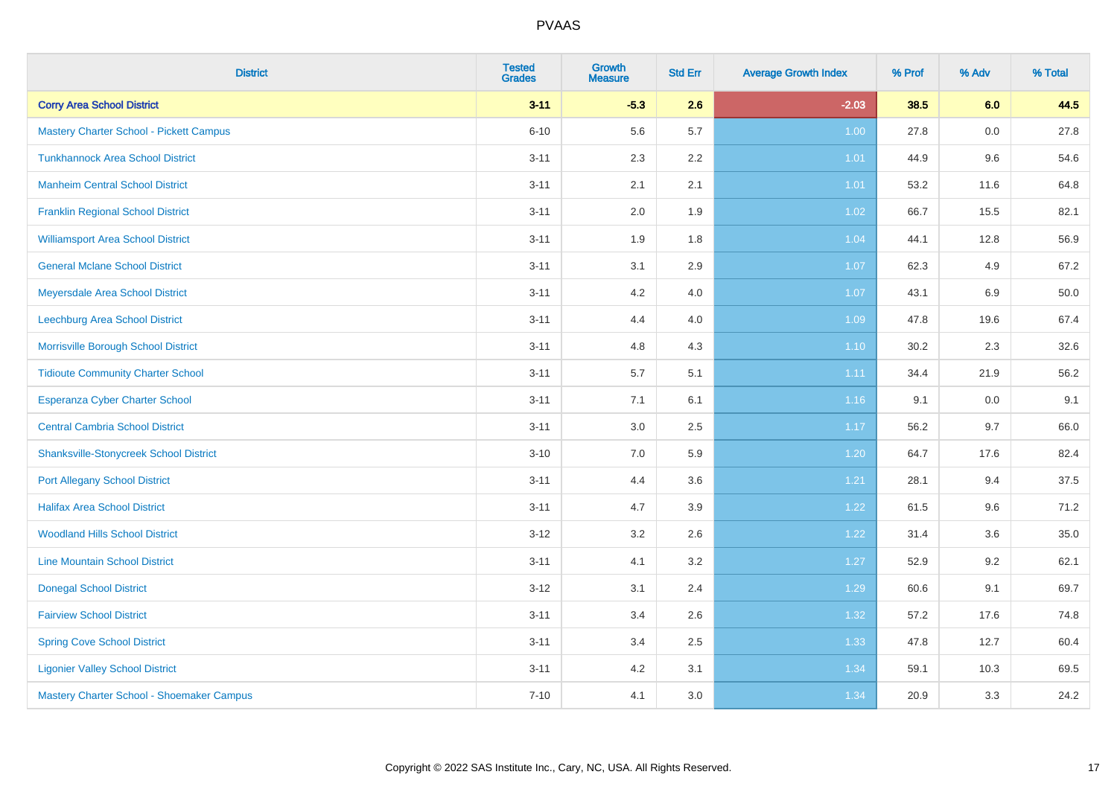| <b>District</b>                                | <b>Tested</b><br><b>Grades</b> | <b>Growth</b><br><b>Measure</b> | <b>Std Err</b> | <b>Average Growth Index</b> | % Prof | % Adv | % Total |
|------------------------------------------------|--------------------------------|---------------------------------|----------------|-----------------------------|--------|-------|---------|
| <b>Corry Area School District</b>              | $3 - 11$                       | $-5.3$                          | 2.6            | $-2.03$                     | 38.5   | 6.0   | 44.5    |
| <b>Mastery Charter School - Pickett Campus</b> | $6 - 10$                       | 5.6                             | 5.7            | 1.00                        | 27.8   | 0.0   | 27.8    |
| <b>Tunkhannock Area School District</b>        | $3 - 11$                       | 2.3                             | 2.2            | 1.01                        | 44.9   | 9.6   | 54.6    |
| <b>Manheim Central School District</b>         | $3 - 11$                       | 2.1                             | 2.1            | 1.01                        | 53.2   | 11.6  | 64.8    |
| <b>Franklin Regional School District</b>       | $3 - 11$                       | 2.0                             | 1.9            | 1.02                        | 66.7   | 15.5  | 82.1    |
| <b>Williamsport Area School District</b>       | $3 - 11$                       | 1.9                             | 1.8            | 1.04                        | 44.1   | 12.8  | 56.9    |
| <b>General Mclane School District</b>          | $3 - 11$                       | 3.1                             | 2.9            | 1.07                        | 62.3   | 4.9   | 67.2    |
| Meyersdale Area School District                | $3 - 11$                       | 4.2                             | 4.0            | 1.07                        | 43.1   | 6.9   | 50.0    |
| Leechburg Area School District                 | $3 - 11$                       | 4.4                             | 4.0            | 1.09                        | 47.8   | 19.6  | 67.4    |
| Morrisville Borough School District            | $3 - 11$                       | 4.8                             | 4.3            | 1.10                        | 30.2   | 2.3   | 32.6    |
| <b>Tidioute Community Charter School</b>       | $3 - 11$                       | 5.7                             | 5.1            | 1.11                        | 34.4   | 21.9  | 56.2    |
| Esperanza Cyber Charter School                 | $3 - 11$                       | 7.1                             | 6.1            | 1.16                        | 9.1    | 0.0   | 9.1     |
| <b>Central Cambria School District</b>         | $3 - 11$                       | $3.0\,$                         | 2.5            | 1.17                        | 56.2   | 9.7   | 66.0    |
| <b>Shanksville-Stonycreek School District</b>  | $3 - 10$                       | 7.0                             | 5.9            | 1.20                        | 64.7   | 17.6  | 82.4    |
| <b>Port Allegany School District</b>           | $3 - 11$                       | 4.4                             | 3.6            | 1.21                        | 28.1   | 9.4   | 37.5    |
| <b>Halifax Area School District</b>            | $3 - 11$                       | 4.7                             | 3.9            | 1.22                        | 61.5   | 9.6   | 71.2    |
| <b>Woodland Hills School District</b>          | $3 - 12$                       | 3.2                             | 2.6            | 1.22                        | 31.4   | 3.6   | 35.0    |
| <b>Line Mountain School District</b>           | $3 - 11$                       | 4.1                             | 3.2            | 1.27                        | 52.9   | 9.2   | 62.1    |
| <b>Donegal School District</b>                 | $3 - 12$                       | 3.1                             | 2.4            | 1.29                        | 60.6   | 9.1   | 69.7    |
| <b>Fairview School District</b>                | $3 - 11$                       | 3.4                             | 2.6            | 1.32                        | 57.2   | 17.6  | 74.8    |
| <b>Spring Cove School District</b>             | $3 - 11$                       | 3.4                             | 2.5            | 1.33                        | 47.8   | 12.7  | 60.4    |
| <b>Ligonier Valley School District</b>         | $3 - 11$                       | 4.2                             | 3.1            | 1.34                        | 59.1   | 10.3  | 69.5    |
| Mastery Charter School - Shoemaker Campus      | $7 - 10$                       | 4.1                             | 3.0            | 1.34                        | 20.9   | 3.3   | 24.2    |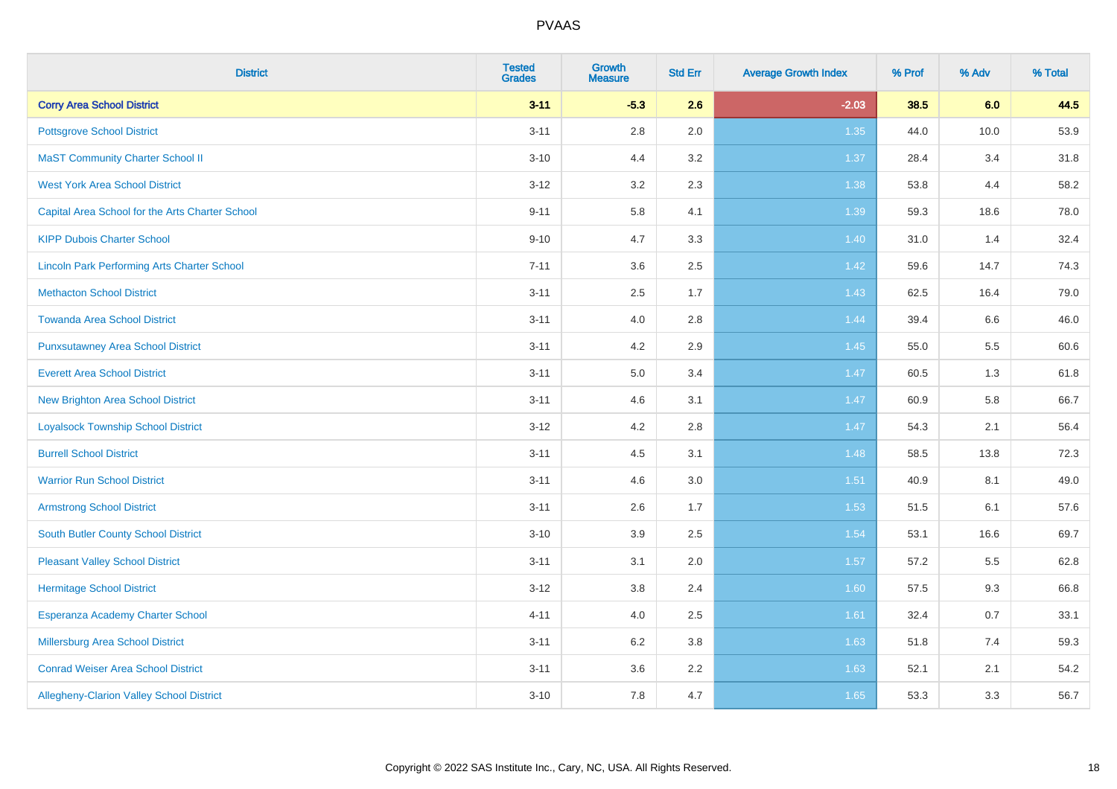| <b>District</b>                                    | <b>Tested</b><br><b>Grades</b> | <b>Growth</b><br><b>Measure</b> | <b>Std Err</b> | <b>Average Growth Index</b> | % Prof | % Adv | % Total |
|----------------------------------------------------|--------------------------------|---------------------------------|----------------|-----------------------------|--------|-------|---------|
| <b>Corry Area School District</b>                  | $3 - 11$                       | $-5.3$                          | 2.6            | $-2.03$                     | 38.5   | 6.0   | 44.5    |
| <b>Pottsgrove School District</b>                  | $3 - 11$                       | $2.8\,$                         | 2.0            | 1.35                        | 44.0   | 10.0  | 53.9    |
| <b>MaST Community Charter School II</b>            | $3 - 10$                       | 4.4                             | 3.2            | 1.37                        | 28.4   | 3.4   | 31.8    |
| <b>West York Area School District</b>              | $3 - 12$                       | 3.2                             | 2.3            | 1.38                        | 53.8   | 4.4   | 58.2    |
| Capital Area School for the Arts Charter School    | $9 - 11$                       | 5.8                             | 4.1            | 1.39                        | 59.3   | 18.6  | 78.0    |
| <b>KIPP Dubois Charter School</b>                  | $9 - 10$                       | 4.7                             | 3.3            | 1.40                        | 31.0   | 1.4   | 32.4    |
| <b>Lincoln Park Performing Arts Charter School</b> | $7 - 11$                       | 3.6                             | 2.5            | 1.42                        | 59.6   | 14.7  | 74.3    |
| <b>Methacton School District</b>                   | $3 - 11$                       | 2.5                             | 1.7            | 1.43                        | 62.5   | 16.4  | 79.0    |
| <b>Towanda Area School District</b>                | $3 - 11$                       | 4.0                             | 2.8            | 1.44                        | 39.4   | 6.6   | 46.0    |
| <b>Punxsutawney Area School District</b>           | $3 - 11$                       | 4.2                             | 2.9            | $1.45$                      | 55.0   | 5.5   | 60.6    |
| <b>Everett Area School District</b>                | $3 - 11$                       | 5.0                             | 3.4            | 1.47                        | 60.5   | 1.3   | 61.8    |
| <b>New Brighton Area School District</b>           | $3 - 11$                       | 4.6                             | 3.1            | $1.47$                      | 60.9   | 5.8   | 66.7    |
| <b>Loyalsock Township School District</b>          | $3 - 12$                       | 4.2                             | 2.8            | 1.47                        | 54.3   | 2.1   | 56.4    |
| <b>Burrell School District</b>                     | $3 - 11$                       | 4.5                             | 3.1            | 1.48                        | 58.5   | 13.8  | 72.3    |
| <b>Warrior Run School District</b>                 | $3 - 11$                       | 4.6                             | 3.0            | 1.51                        | 40.9   | 8.1   | 49.0    |
| <b>Armstrong School District</b>                   | $3 - 11$                       | 2.6                             | 1.7            | 1.53                        | 51.5   | 6.1   | 57.6    |
| <b>South Butler County School District</b>         | $3 - 10$                       | 3.9                             | 2.5            | 1.54                        | 53.1   | 16.6  | 69.7    |
| <b>Pleasant Valley School District</b>             | $3 - 11$                       | 3.1                             | 2.0            | 1.57                        | 57.2   | 5.5   | 62.8    |
| <b>Hermitage School District</b>                   | $3 - 12$                       | $3.8\,$                         | 2.4            | 1.60                        | 57.5   | 9.3   | 66.8    |
| Esperanza Academy Charter School                   | $4 - 11$                       | 4.0                             | 2.5            | 1.61                        | 32.4   | 0.7   | 33.1    |
| Millersburg Area School District                   | $3 - 11$                       | 6.2                             | 3.8            | 1.63                        | 51.8   | 7.4   | 59.3    |
| <b>Conrad Weiser Area School District</b>          | $3 - 11$                       | 3.6                             | 2.2            | 1.63                        | 52.1   | 2.1   | 54.2    |
| Allegheny-Clarion Valley School District           | $3 - 10$                       | 7.8                             | 4.7            | 1.65                        | 53.3   | 3.3   | 56.7    |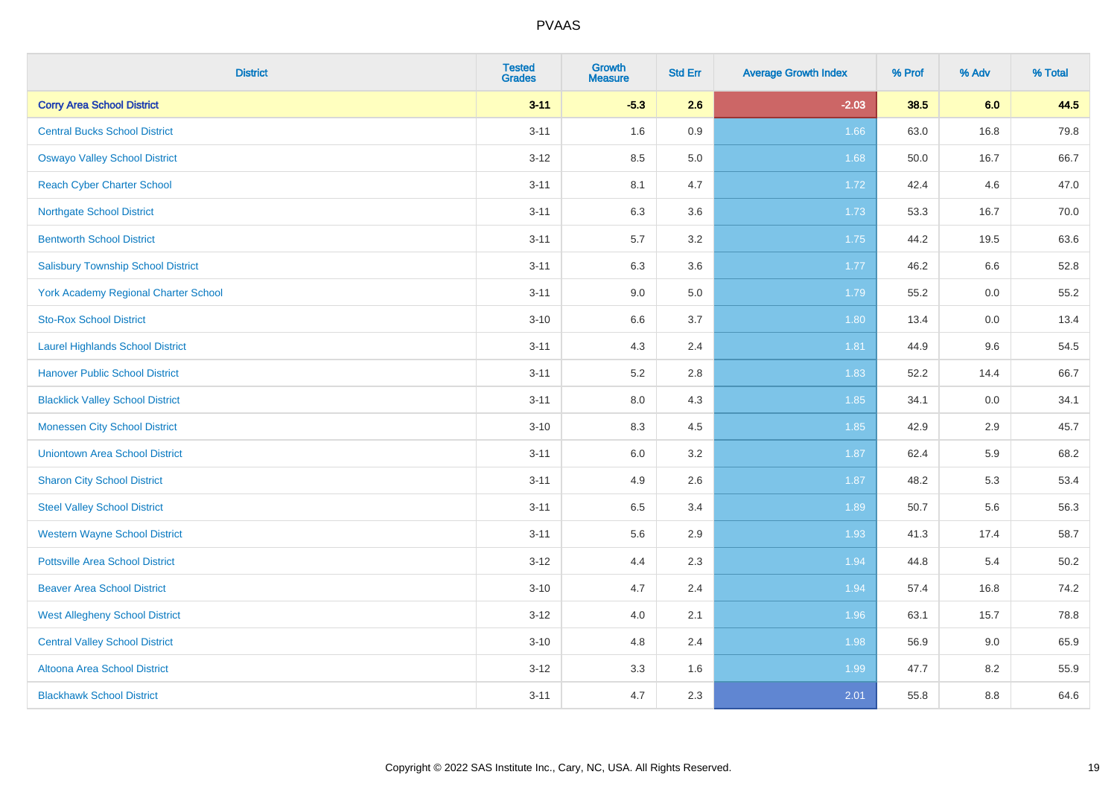| <b>District</b>                           | <b>Tested</b><br><b>Grades</b> | Growth<br><b>Measure</b> | <b>Std Err</b> | <b>Average Growth Index</b> | % Prof | % Adv   | % Total  |
|-------------------------------------------|--------------------------------|--------------------------|----------------|-----------------------------|--------|---------|----------|
| <b>Corry Area School District</b>         | $3 - 11$                       | $-5.3$                   | 2.6            | $-2.03$                     | 38.5   | 6.0     | 44.5     |
| <b>Central Bucks School District</b>      | $3 - 11$                       | 1.6                      | 0.9            | 1.66                        | 63.0   | 16.8    | 79.8     |
| <b>Oswayo Valley School District</b>      | $3-12$                         | 8.5                      | 5.0            | 1.68                        | 50.0   | 16.7    | 66.7     |
| <b>Reach Cyber Charter School</b>         | $3 - 11$                       | 8.1                      | 4.7            | 1.72                        | 42.4   | 4.6     | 47.0     |
| <b>Northgate School District</b>          | $3 - 11$                       | 6.3                      | 3.6            | 1.73                        | 53.3   | 16.7    | 70.0     |
| <b>Bentworth School District</b>          | $3 - 11$                       | 5.7                      | 3.2            | 1.75                        | 44.2   | 19.5    | 63.6     |
| <b>Salisbury Township School District</b> | $3 - 11$                       | 6.3                      | 3.6            | 1.77                        | 46.2   | $6.6\,$ | 52.8     |
| York Academy Regional Charter School      | $3 - 11$                       | 9.0                      | 5.0            | 1.79                        | 55.2   | 0.0     | 55.2     |
| <b>Sto-Rox School District</b>            | $3 - 10$                       | $6.6\,$                  | 3.7            | 1.80                        | 13.4   | 0.0     | 13.4     |
| <b>Laurel Highlands School District</b>   | $3 - 11$                       | 4.3                      | 2.4            | 1.81                        | 44.9   | 9.6     | 54.5     |
| <b>Hanover Public School District</b>     | $3 - 11$                       | 5.2                      | 2.8            | 1.83                        | 52.2   | 14.4    | 66.7     |
| <b>Blacklick Valley School District</b>   | $3 - 11$                       | $8.0\,$                  | 4.3            | 1.85                        | 34.1   | 0.0     | 34.1     |
| <b>Monessen City School District</b>      | $3 - 10$                       | 8.3                      | 4.5            | 1.85                        | 42.9   | 2.9     | 45.7     |
| <b>Uniontown Area School District</b>     | $3 - 11$                       | 6.0                      | 3.2            | 1.87                        | 62.4   | 5.9     | 68.2     |
| <b>Sharon City School District</b>        | $3 - 11$                       | 4.9                      | 2.6            | 1.87                        | 48.2   | 5.3     | 53.4     |
| <b>Steel Valley School District</b>       | $3 - 11$                       | 6.5                      | 3.4            | 1.89                        | 50.7   | 5.6     | 56.3     |
| <b>Western Wayne School District</b>      | $3 - 11$                       | 5.6                      | 2.9            | 1.93                        | 41.3   | 17.4    | 58.7     |
| <b>Pottsville Area School District</b>    | $3-12$                         | 4.4                      | 2.3            | 1.94                        | 44.8   | 5.4     | $50.2\,$ |
| <b>Beaver Area School District</b>        | $3 - 10$                       | 4.7                      | 2.4            | 1.94                        | 57.4   | 16.8    | 74.2     |
| <b>West Allegheny School District</b>     | $3-12$                         | 4.0                      | 2.1            | 1.96                        | 63.1   | 15.7    | 78.8     |
| <b>Central Valley School District</b>     | $3 - 10$                       | $4.8\,$                  | 2.4            | 1.98                        | 56.9   | 9.0     | 65.9     |
| Altoona Area School District              | $3 - 12$                       | 3.3                      | 1.6            | 1.99                        | 47.7   | 8.2     | 55.9     |
| <b>Blackhawk School District</b>          | $3 - 11$                       | 4.7                      | 2.3            | 2.01                        | 55.8   | 8.8     | 64.6     |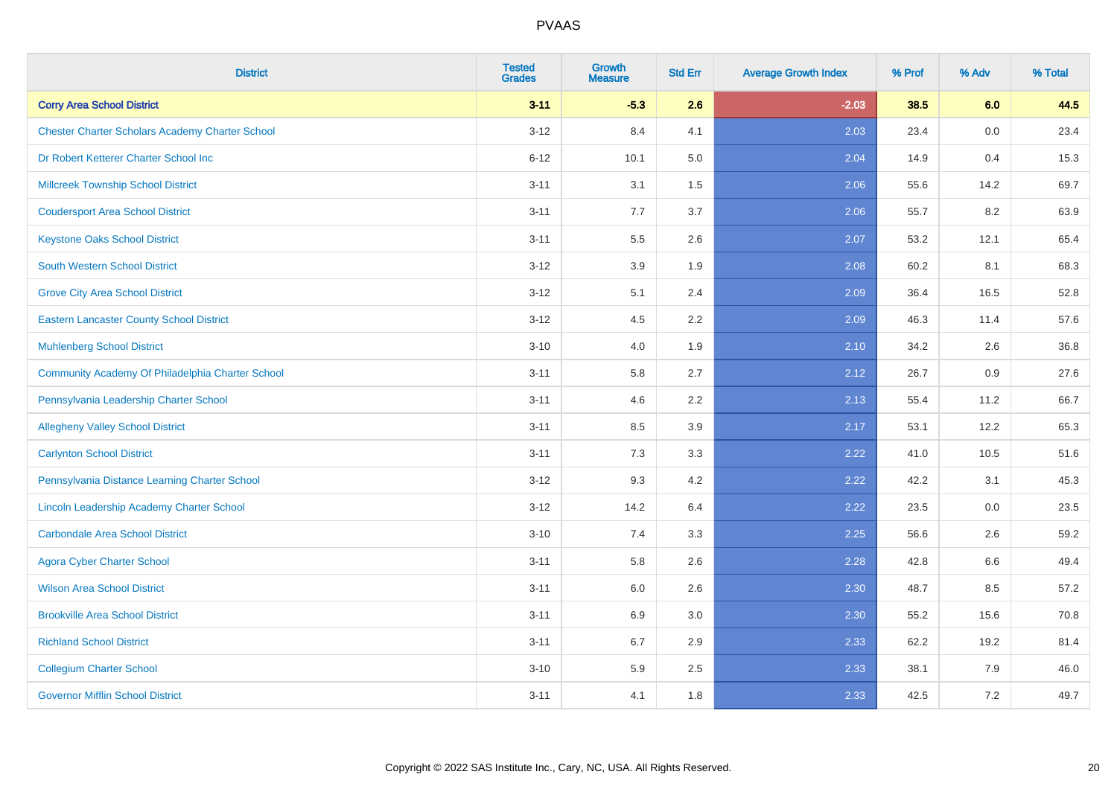| <b>District</b>                                        | <b>Tested</b><br><b>Grades</b> | <b>Growth</b><br><b>Measure</b> | <b>Std Err</b> | <b>Average Growth Index</b> | % Prof | % Adv | % Total |
|--------------------------------------------------------|--------------------------------|---------------------------------|----------------|-----------------------------|--------|-------|---------|
| <b>Corry Area School District</b>                      | $3 - 11$                       | $-5.3$                          | 2.6            | $-2.03$                     | 38.5   | 6.0   | 44.5    |
| <b>Chester Charter Scholars Academy Charter School</b> | $3 - 12$                       | 8.4                             | 4.1            | 2.03                        | 23.4   | 0.0   | 23.4    |
| Dr Robert Ketterer Charter School Inc                  | $6 - 12$                       | 10.1                            | 5.0            | 2.04                        | 14.9   | 0.4   | 15.3    |
| <b>Millcreek Township School District</b>              | $3 - 11$                       | 3.1                             | 1.5            | 2.06                        | 55.6   | 14.2  | 69.7    |
| <b>Coudersport Area School District</b>                | $3 - 11$                       | 7.7                             | 3.7            | 2.06                        | 55.7   | 8.2   | 63.9    |
| <b>Keystone Oaks School District</b>                   | $3 - 11$                       | 5.5                             | 2.6            | 2.07                        | 53.2   | 12.1  | 65.4    |
| South Western School District                          | $3 - 12$                       | 3.9                             | 1.9            | 2.08                        | 60.2   | 8.1   | 68.3    |
| <b>Grove City Area School District</b>                 | $3 - 12$                       | 5.1                             | 2.4            | 2.09                        | 36.4   | 16.5  | 52.8    |
| <b>Eastern Lancaster County School District</b>        | $3 - 12$                       | 4.5                             | 2.2            | 2.09                        | 46.3   | 11.4  | 57.6    |
| <b>Muhlenberg School District</b>                      | $3 - 10$                       | 4.0                             | 1.9            | 2.10                        | 34.2   | 2.6   | 36.8    |
| Community Academy Of Philadelphia Charter School       | $3 - 11$                       | 5.8                             | 2.7            | 2.12                        | 26.7   | 0.9   | 27.6    |
| Pennsylvania Leadership Charter School                 | $3 - 11$                       | 4.6                             | 2.2            | 2.13                        | 55.4   | 11.2  | 66.7    |
| <b>Allegheny Valley School District</b>                | $3 - 11$                       | 8.5                             | 3.9            | 2.17                        | 53.1   | 12.2  | 65.3    |
| <b>Carlynton School District</b>                       | $3 - 11$                       | 7.3                             | 3.3            | 2.22                        | 41.0   | 10.5  | 51.6    |
| Pennsylvania Distance Learning Charter School          | $3 - 12$                       | 9.3                             | 4.2            | 2.22                        | 42.2   | 3.1   | 45.3    |
| Lincoln Leadership Academy Charter School              | $3 - 12$                       | 14.2                            | 6.4            | 2.22                        | 23.5   | 0.0   | 23.5    |
| <b>Carbondale Area School District</b>                 | $3 - 10$                       | 7.4                             | 3.3            | 2.25                        | 56.6   | 2.6   | 59.2    |
| <b>Agora Cyber Charter School</b>                      | $3 - 11$                       | 5.8                             | 2.6            | 2.28                        | 42.8   | 6.6   | 49.4    |
| <b>Wilson Area School District</b>                     | $3 - 11$                       | 6.0                             | 2.6            | 2.30                        | 48.7   | 8.5   | 57.2    |
| <b>Brookville Area School District</b>                 | $3 - 11$                       | 6.9                             | 3.0            | 2.30                        | 55.2   | 15.6  | 70.8    |
| <b>Richland School District</b>                        | $3 - 11$                       | 6.7                             | 2.9            | 2.33                        | 62.2   | 19.2  | 81.4    |
| <b>Collegium Charter School</b>                        | $3 - 10$                       | 5.9                             | 2.5            | 2.33                        | 38.1   | 7.9   | 46.0    |
| <b>Governor Mifflin School District</b>                | $3 - 11$                       | 4.1                             | 1.8            | 2.33                        | 42.5   | 7.2   | 49.7    |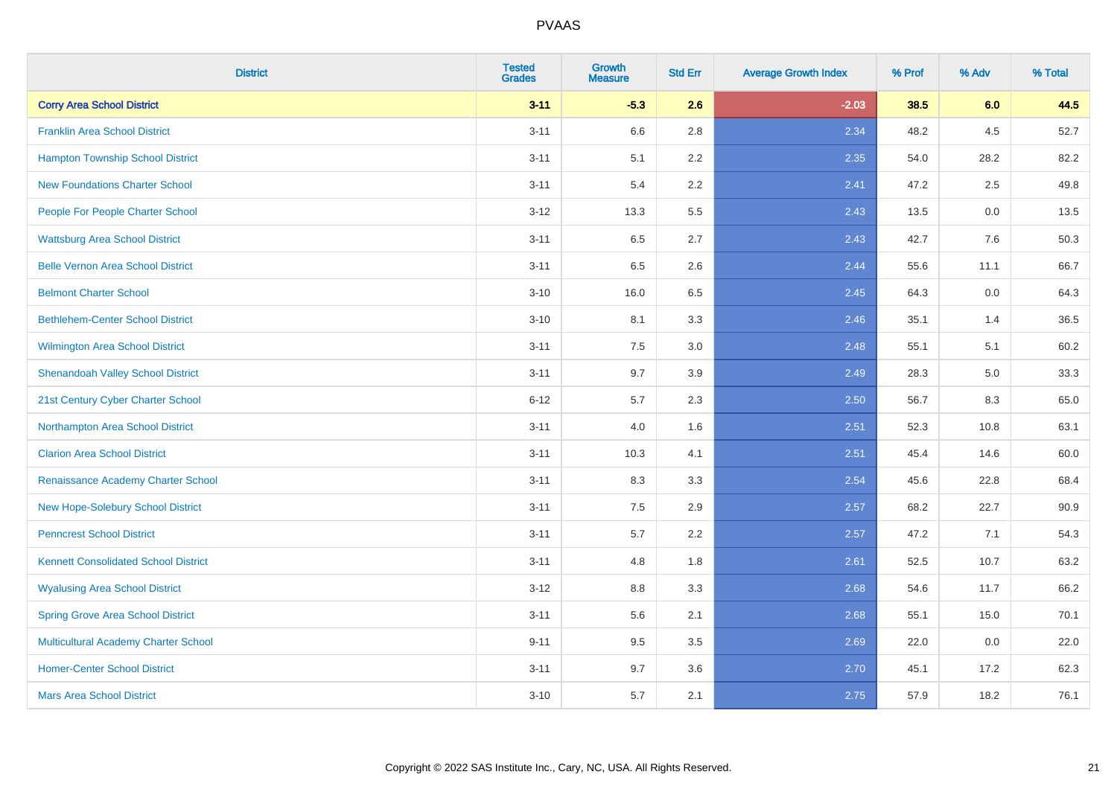| <b>District</b>                             | <b>Tested</b><br><b>Grades</b> | <b>Growth</b><br><b>Measure</b> | <b>Std Err</b> | <b>Average Growth Index</b> | % Prof | % Adv | % Total |
|---------------------------------------------|--------------------------------|---------------------------------|----------------|-----------------------------|--------|-------|---------|
| <b>Corry Area School District</b>           | $3 - 11$                       | $-5.3$                          | 2.6            | $-2.03$                     | 38.5   | 6.0   | 44.5    |
| <b>Franklin Area School District</b>        | $3 - 11$                       | 6.6                             | 2.8            | 2.34                        | 48.2   | 4.5   | 52.7    |
| <b>Hampton Township School District</b>     | $3 - 11$                       | 5.1                             | 2.2            | 2.35                        | 54.0   | 28.2  | 82.2    |
| <b>New Foundations Charter School</b>       | $3 - 11$                       | 5.4                             | 2.2            | 2.41                        | 47.2   | 2.5   | 49.8    |
| People For People Charter School            | $3 - 12$                       | 13.3                            | 5.5            | 2.43                        | 13.5   | 0.0   | 13.5    |
| <b>Wattsburg Area School District</b>       | $3 - 11$                       | 6.5                             | 2.7            | 2.43                        | 42.7   | 7.6   | 50.3    |
| <b>Belle Vernon Area School District</b>    | $3 - 11$                       | 6.5                             | 2.6            | 2.44                        | 55.6   | 11.1  | 66.7    |
| <b>Belmont Charter School</b>               | $3 - 10$                       | 16.0                            | 6.5            | 2.45                        | 64.3   | 0.0   | 64.3    |
| <b>Bethlehem-Center School District</b>     | $3 - 10$                       | 8.1                             | 3.3            | 2.46                        | 35.1   | 1.4   | 36.5    |
| Wilmington Area School District             | $3 - 11$                       | 7.5                             | 3.0            | 2.48                        | 55.1   | 5.1   | 60.2    |
| <b>Shenandoah Valley School District</b>    | $3 - 11$                       | 9.7                             | 3.9            | 2.49                        | 28.3   | 5.0   | 33.3    |
| 21st Century Cyber Charter School           | $6 - 12$                       | 5.7                             | 2.3            | 2.50                        | 56.7   | 8.3   | 65.0    |
| Northampton Area School District            | $3 - 11$                       | 4.0                             | 1.6            | 2.51                        | 52.3   | 10.8  | 63.1    |
| <b>Clarion Area School District</b>         | $3 - 11$                       | 10.3                            | 4.1            | 2.51                        | 45.4   | 14.6  | 60.0    |
| Renaissance Academy Charter School          | $3 - 11$                       | 8.3                             | 3.3            | 2.54                        | 45.6   | 22.8  | 68.4    |
| New Hope-Solebury School District           | $3 - 11$                       | 7.5                             | 2.9            | 2.57                        | 68.2   | 22.7  | 90.9    |
| <b>Penncrest School District</b>            | $3 - 11$                       | 5.7                             | 2.2            | 2.57                        | 47.2   | 7.1   | 54.3    |
| <b>Kennett Consolidated School District</b> | $3 - 11$                       | 4.8                             | 1.8            | 2.61                        | 52.5   | 10.7  | 63.2    |
| <b>Wyalusing Area School District</b>       | $3 - 12$                       | 8.8                             | 3.3            | 2.68                        | 54.6   | 11.7  | 66.2    |
| <b>Spring Grove Area School District</b>    | $3 - 11$                       | 5.6                             | 2.1            | 2.68                        | 55.1   | 15.0  | 70.1    |
| <b>Multicultural Academy Charter School</b> | $9 - 11$                       | 9.5                             | 3.5            | 2.69                        | 22.0   | 0.0   | 22.0    |
| <b>Homer-Center School District</b>         | $3 - 11$                       | 9.7                             | 3.6            | 2.70                        | 45.1   | 17.2  | 62.3    |
| <b>Mars Area School District</b>            | $3 - 10$                       | 5.7                             | 2.1            | 2.75                        | 57.9   | 18.2  | 76.1    |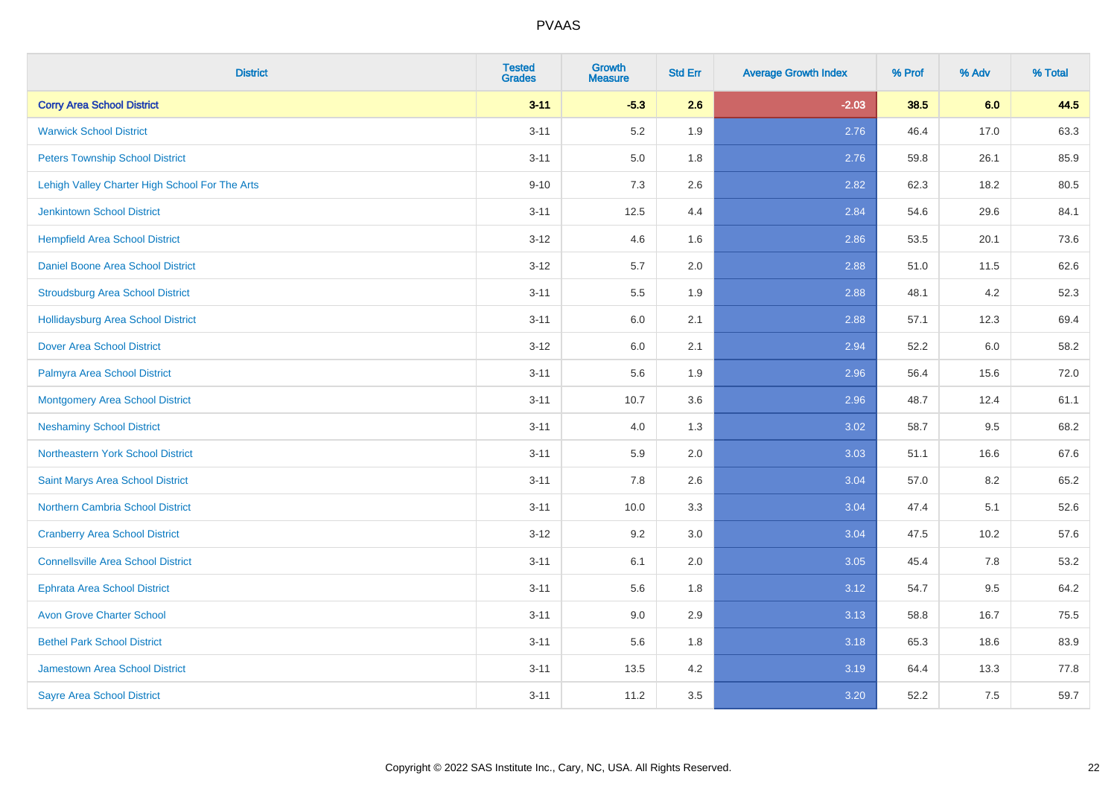| <b>District</b>                                | <b>Tested</b><br><b>Grades</b> | <b>Growth</b><br><b>Measure</b> | <b>Std Err</b> | <b>Average Growth Index</b> | % Prof | % Adv | % Total |
|------------------------------------------------|--------------------------------|---------------------------------|----------------|-----------------------------|--------|-------|---------|
| <b>Corry Area School District</b>              | $3 - 11$                       | $-5.3$                          | 2.6            | $-2.03$                     | 38.5   | 6.0   | 44.5    |
| <b>Warwick School District</b>                 | $3 - 11$                       | 5.2                             | 1.9            | 2.76                        | 46.4   | 17.0  | 63.3    |
| <b>Peters Township School District</b>         | $3 - 11$                       | 5.0                             | 1.8            | 2.76                        | 59.8   | 26.1  | 85.9    |
| Lehigh Valley Charter High School For The Arts | $9 - 10$                       | $7.3$                           | 2.6            | 2.82                        | 62.3   | 18.2  | 80.5    |
| <b>Jenkintown School District</b>              | $3 - 11$                       | 12.5                            | 4.4            | 2.84                        | 54.6   | 29.6  | 84.1    |
| <b>Hempfield Area School District</b>          | $3 - 12$                       | 4.6                             | 1.6            | 2.86                        | 53.5   | 20.1  | 73.6    |
| Daniel Boone Area School District              | $3 - 12$                       | 5.7                             | 2.0            | 2.88                        | 51.0   | 11.5  | 62.6    |
| <b>Stroudsburg Area School District</b>        | $3 - 11$                       | 5.5                             | 1.9            | 2.88                        | 48.1   | 4.2   | 52.3    |
| <b>Hollidaysburg Area School District</b>      | $3 - 11$                       | 6.0                             | 2.1            | 2.88                        | 57.1   | 12.3  | 69.4    |
| <b>Dover Area School District</b>              | $3-12$                         | 6.0                             | 2.1            | 2.94                        | 52.2   | 6.0   | 58.2    |
| Palmyra Area School District                   | $3 - 11$                       | 5.6                             | 1.9            | 2.96                        | 56.4   | 15.6  | 72.0    |
| <b>Montgomery Area School District</b>         | $3 - 11$                       | 10.7                            | 3.6            | 2.96                        | 48.7   | 12.4  | 61.1    |
| <b>Neshaminy School District</b>               | $3 - 11$                       | 4.0                             | 1.3            | 3.02                        | 58.7   | 9.5   | 68.2    |
| Northeastern York School District              | $3 - 11$                       | 5.9                             | 2.0            | 3.03                        | 51.1   | 16.6  | 67.6    |
| Saint Marys Area School District               | $3 - 11$                       | 7.8                             | 2.6            | 3.04                        | 57.0   | 8.2   | 65.2    |
| <b>Northern Cambria School District</b>        | $3 - 11$                       | 10.0                            | 3.3            | 3.04                        | 47.4   | 5.1   | 52.6    |
| <b>Cranberry Area School District</b>          | $3-12$                         | 9.2                             | 3.0            | 3.04                        | 47.5   | 10.2  | 57.6    |
| <b>Connellsville Area School District</b>      | $3 - 11$                       | 6.1                             | 2.0            | 3.05                        | 45.4   | 7.8   | 53.2    |
| <b>Ephrata Area School District</b>            | $3 - 11$                       | 5.6                             | 1.8            | 3.12                        | 54.7   | 9.5   | 64.2    |
| <b>Avon Grove Charter School</b>               | $3 - 11$                       | 9.0                             | 2.9            | 3.13                        | 58.8   | 16.7  | 75.5    |
| <b>Bethel Park School District</b>             | $3 - 11$                       | 5.6                             | 1.8            | 3.18                        | 65.3   | 18.6  | 83.9    |
| <b>Jamestown Area School District</b>          | $3 - 11$                       | 13.5                            | 4.2            | 3.19                        | 64.4   | 13.3  | 77.8    |
| <b>Sayre Area School District</b>              | $3 - 11$                       | 11.2                            | 3.5            | 3.20                        | 52.2   | 7.5   | 59.7    |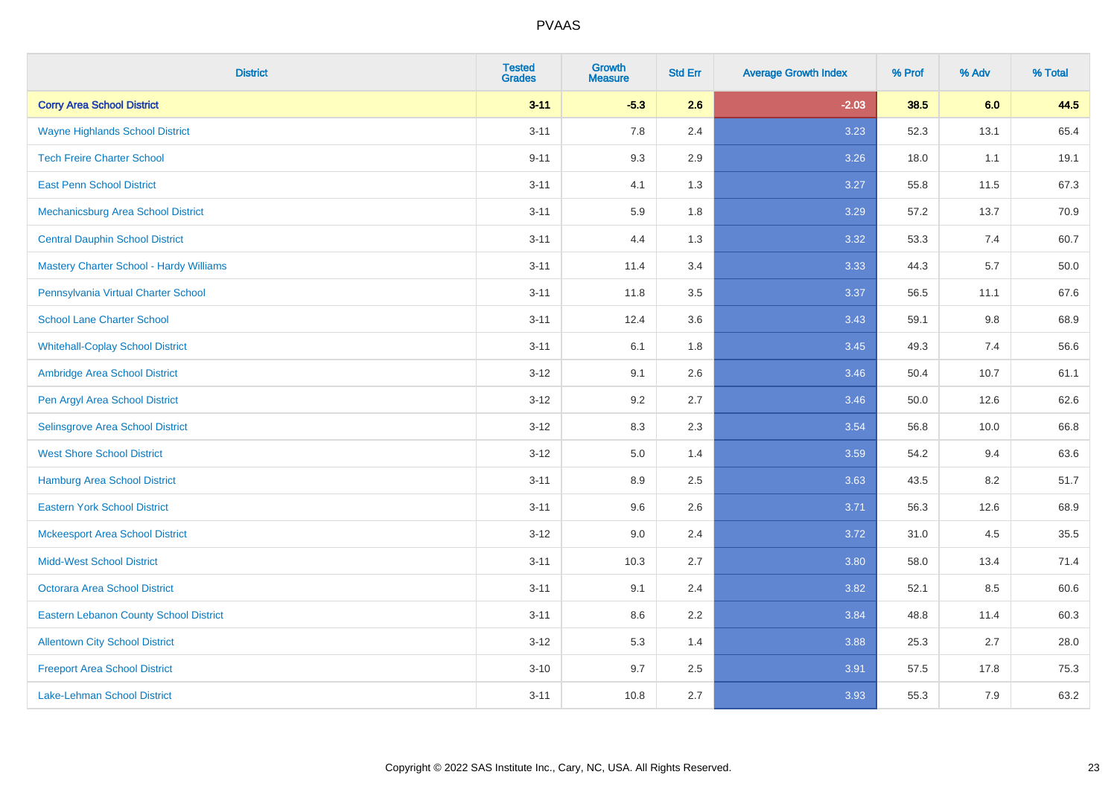| <b>District</b>                               | <b>Tested</b><br><b>Grades</b> | Growth<br><b>Measure</b> | <b>Std Err</b> | <b>Average Growth Index</b> | % Prof | % Adv | % Total |
|-----------------------------------------------|--------------------------------|--------------------------|----------------|-----------------------------|--------|-------|---------|
| <b>Corry Area School District</b>             | $3 - 11$                       | $-5.3$                   | 2.6            | $-2.03$                     | 38.5   | 6.0   | 44.5    |
| <b>Wayne Highlands School District</b>        | $3 - 11$                       | 7.8                      | 2.4            | 3.23                        | 52.3   | 13.1  | 65.4    |
| <b>Tech Freire Charter School</b>             | $9 - 11$                       | 9.3                      | 2.9            | 3.26                        | 18.0   | 1.1   | 19.1    |
| <b>East Penn School District</b>              | $3 - 11$                       | 4.1                      | 1.3            | 3.27                        | 55.8   | 11.5  | 67.3    |
| Mechanicsburg Area School District            | $3 - 11$                       | 5.9                      | 1.8            | 3.29                        | 57.2   | 13.7  | 70.9    |
| <b>Central Dauphin School District</b>        | $3 - 11$                       | 4.4                      | 1.3            | 3.32                        | 53.3   | 7.4   | 60.7    |
| Mastery Charter School - Hardy Williams       | $3 - 11$                       | 11.4                     | 3.4            | 3.33                        | 44.3   | 5.7   | 50.0    |
| Pennsylvania Virtual Charter School           | $3 - 11$                       | 11.8                     | 3.5            | 3.37                        | 56.5   | 11.1  | 67.6    |
| <b>School Lane Charter School</b>             | $3 - 11$                       | 12.4                     | 3.6            | 3.43                        | 59.1   | 9.8   | 68.9    |
| <b>Whitehall-Coplay School District</b>       | $3 - 11$                       | 6.1                      | 1.8            | 3.45                        | 49.3   | 7.4   | 56.6    |
| Ambridge Area School District                 | $3-12$                         | 9.1                      | 2.6            | 3.46                        | 50.4   | 10.7  | 61.1    |
| Pen Argyl Area School District                | $3-12$                         | 9.2                      | 2.7            | 3.46                        | 50.0   | 12.6  | 62.6    |
| Selinsgrove Area School District              | $3 - 12$                       | 8.3                      | 2.3            | 3.54                        | 56.8   | 10.0  | 66.8    |
| <b>West Shore School District</b>             | $3-12$                         | 5.0                      | 1.4            | 3.59                        | 54.2   | 9.4   | 63.6    |
| <b>Hamburg Area School District</b>           | $3 - 11$                       | 8.9                      | 2.5            | 3.63                        | 43.5   | 8.2   | 51.7    |
| <b>Eastern York School District</b>           | $3 - 11$                       | 9.6                      | 2.6            | 3.71                        | 56.3   | 12.6  | 68.9    |
| <b>Mckeesport Area School District</b>        | $3-12$                         | 9.0                      | 2.4            | 3.72                        | 31.0   | 4.5   | 35.5    |
| <b>Midd-West School District</b>              | $3 - 11$                       | 10.3                     | 2.7            | 3.80                        | 58.0   | 13.4  | 71.4    |
| <b>Octorara Area School District</b>          | $3 - 11$                       | 9.1                      | 2.4            | 3.82                        | 52.1   | 8.5   | 60.6    |
| <b>Eastern Lebanon County School District</b> | $3 - 11$                       | 8.6                      | 2.2            | 3.84                        | 48.8   | 11.4  | 60.3    |
| <b>Allentown City School District</b>         | $3 - 12$                       | 5.3                      | 1.4            | 3.88                        | 25.3   | 2.7   | 28.0    |
| <b>Freeport Area School District</b>          | $3 - 10$                       | 9.7                      | 2.5            | 3.91                        | 57.5   | 17.8  | 75.3    |
| <b>Lake-Lehman School District</b>            | $3 - 11$                       | 10.8                     | 2.7            | 3.93                        | 55.3   | 7.9   | 63.2    |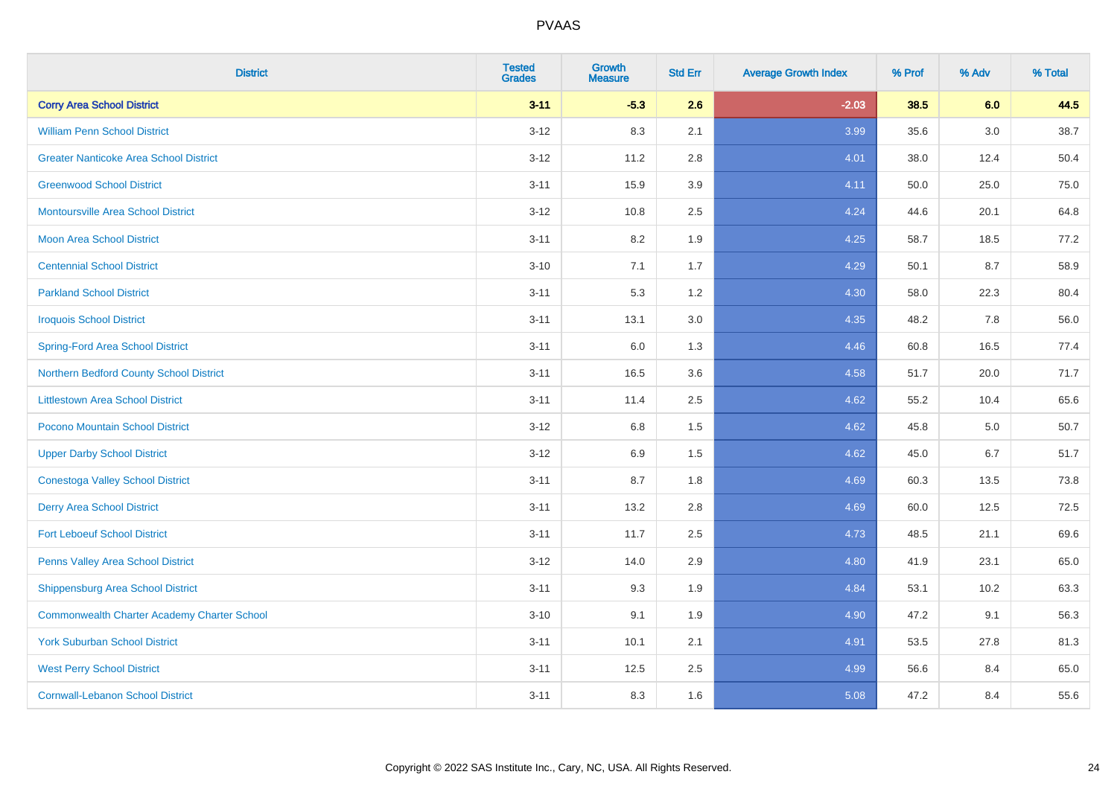| <b>District</b>                                    | <b>Tested</b><br><b>Grades</b> | <b>Growth</b><br><b>Measure</b> | <b>Std Err</b> | <b>Average Growth Index</b> | % Prof | % Adv | % Total |
|----------------------------------------------------|--------------------------------|---------------------------------|----------------|-----------------------------|--------|-------|---------|
| <b>Corry Area School District</b>                  | $3 - 11$                       | $-5.3$                          | 2.6            | $-2.03$                     | 38.5   | 6.0   | 44.5    |
| <b>William Penn School District</b>                | $3 - 12$                       | 8.3                             | 2.1            | 3.99                        | 35.6   | 3.0   | 38.7    |
| <b>Greater Nanticoke Area School District</b>      | $3 - 12$                       | 11.2                            | 2.8            | 4.01                        | 38.0   | 12.4  | 50.4    |
| <b>Greenwood School District</b>                   | $3 - 11$                       | 15.9                            | 3.9            | 4.11                        | 50.0   | 25.0  | 75.0    |
| <b>Montoursville Area School District</b>          | $3 - 12$                       | 10.8                            | 2.5            | 4.24                        | 44.6   | 20.1  | 64.8    |
| <b>Moon Area School District</b>                   | $3 - 11$                       | 8.2                             | 1.9            | 4.25                        | 58.7   | 18.5  | 77.2    |
| <b>Centennial School District</b>                  | $3 - 10$                       | 7.1                             | 1.7            | 4.29                        | 50.1   | 8.7   | 58.9    |
| <b>Parkland School District</b>                    | $3 - 11$                       | 5.3                             | 1.2            | 4.30                        | 58.0   | 22.3  | 80.4    |
| <b>Iroquois School District</b>                    | $3 - 11$                       | 13.1                            | 3.0            | 4.35                        | 48.2   | 7.8   | 56.0    |
| <b>Spring-Ford Area School District</b>            | $3 - 11$                       | 6.0                             | 1.3            | 4.46                        | 60.8   | 16.5  | 77.4    |
| Northern Bedford County School District            | $3 - 11$                       | 16.5                            | 3.6            | 4.58                        | 51.7   | 20.0  | 71.7    |
| <b>Littlestown Area School District</b>            | $3 - 11$                       | 11.4                            | 2.5            | 4.62                        | 55.2   | 10.4  | 65.6    |
| Pocono Mountain School District                    | $3 - 12$                       | $6.8\,$                         | 1.5            | 4.62                        | 45.8   | 5.0   | 50.7    |
| <b>Upper Darby School District</b>                 | $3 - 12$                       | 6.9                             | 1.5            | 4.62                        | 45.0   | 6.7   | 51.7    |
| <b>Conestoga Valley School District</b>            | $3 - 11$                       | 8.7                             | 1.8            | 4.69                        | 60.3   | 13.5  | 73.8    |
| <b>Derry Area School District</b>                  | $3 - 11$                       | 13.2                            | 2.8            | 4.69                        | 60.0   | 12.5  | 72.5    |
| <b>Fort Leboeuf School District</b>                | $3 - 11$                       | 11.7                            | 2.5            | 4.73                        | 48.5   | 21.1  | 69.6    |
| Penns Valley Area School District                  | $3 - 12$                       | 14.0                            | 2.9            | 4.80                        | 41.9   | 23.1  | 65.0    |
| <b>Shippensburg Area School District</b>           | $3 - 11$                       | 9.3                             | 1.9            | 4.84                        | 53.1   | 10.2  | 63.3    |
| <b>Commonwealth Charter Academy Charter School</b> | $3 - 10$                       | 9.1                             | 1.9            | 4.90                        | 47.2   | 9.1   | 56.3    |
| <b>York Suburban School District</b>               | $3 - 11$                       | 10.1                            | 2.1            | 4.91                        | 53.5   | 27.8  | 81.3    |
| <b>West Perry School District</b>                  | $3 - 11$                       | 12.5                            | 2.5            | 4.99                        | 56.6   | 8.4   | 65.0    |
| <b>Cornwall-Lebanon School District</b>            | $3 - 11$                       | 8.3                             | 1.6            | 5.08                        | 47.2   | 8.4   | 55.6    |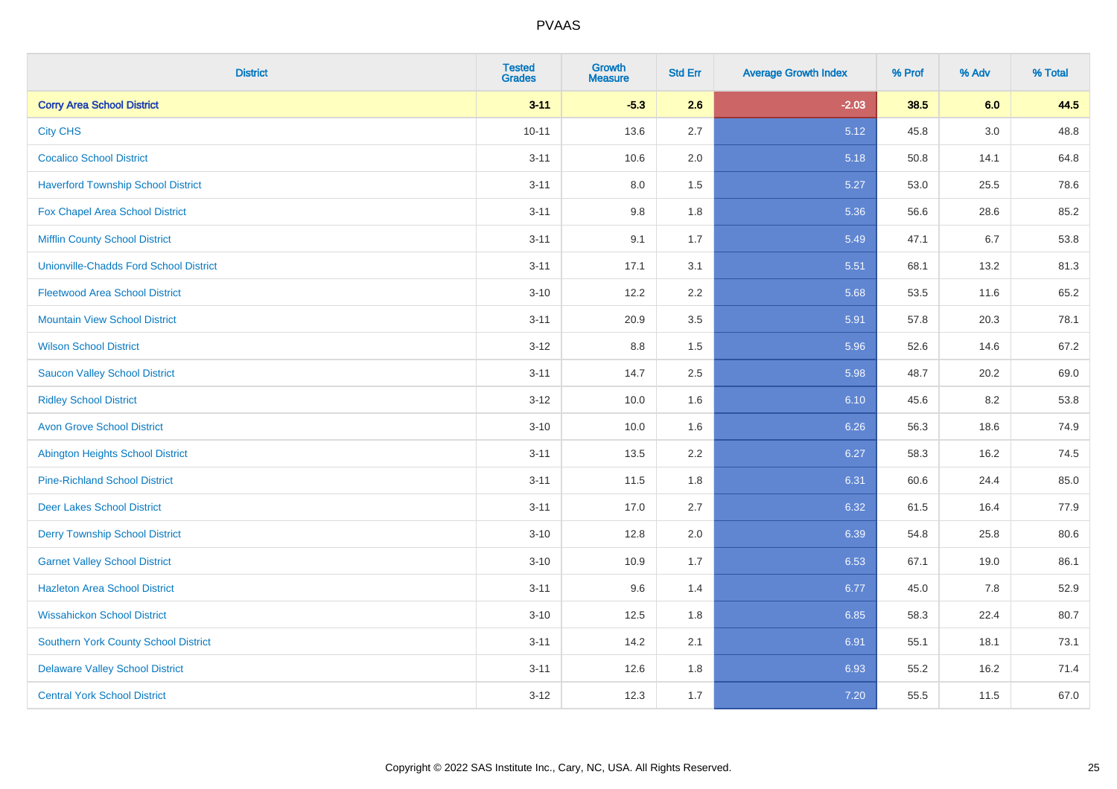| <b>District</b>                               | <b>Tested</b><br><b>Grades</b> | <b>Growth</b><br><b>Measure</b> | <b>Std Err</b> | <b>Average Growth Index</b> | % Prof | % Adv | % Total |
|-----------------------------------------------|--------------------------------|---------------------------------|----------------|-----------------------------|--------|-------|---------|
| <b>Corry Area School District</b>             | $3 - 11$                       | $-5.3$                          | 2.6            | $-2.03$                     | 38.5   | 6.0   | 44.5    |
| <b>City CHS</b>                               | $10 - 11$                      | 13.6                            | 2.7            | 5.12                        | 45.8   | 3.0   | 48.8    |
| <b>Cocalico School District</b>               | $3 - 11$                       | 10.6                            | 2.0            | 5.18                        | 50.8   | 14.1  | 64.8    |
| <b>Haverford Township School District</b>     | $3 - 11$                       | $8.0\,$                         | 1.5            | 5.27                        | 53.0   | 25.5  | 78.6    |
| <b>Fox Chapel Area School District</b>        | $3 - 11$                       | 9.8                             | 1.8            | 5.36                        | 56.6   | 28.6  | 85.2    |
| <b>Mifflin County School District</b>         | $3 - 11$                       | 9.1                             | 1.7            | 5.49                        | 47.1   | 6.7   | 53.8    |
| <b>Unionville-Chadds Ford School District</b> | $3 - 11$                       | 17.1                            | 3.1            | 5.51                        | 68.1   | 13.2  | 81.3    |
| <b>Fleetwood Area School District</b>         | $3 - 10$                       | 12.2                            | 2.2            | 5.68                        | 53.5   | 11.6  | 65.2    |
| <b>Mountain View School District</b>          | $3 - 11$                       | 20.9                            | 3.5            | 5.91                        | 57.8   | 20.3  | 78.1    |
| <b>Wilson School District</b>                 | $3 - 12$                       | 8.8                             | 1.5            | 5.96                        | 52.6   | 14.6  | 67.2    |
| <b>Saucon Valley School District</b>          | $3 - 11$                       | 14.7                            | 2.5            | 5.98                        | 48.7   | 20.2  | 69.0    |
| <b>Ridley School District</b>                 | $3 - 12$                       | 10.0                            | 1.6            | 6.10                        | 45.6   | 8.2   | 53.8    |
| <b>Avon Grove School District</b>             | $3 - 10$                       | 10.0                            | 1.6            | 6.26                        | 56.3   | 18.6  | 74.9    |
| <b>Abington Heights School District</b>       | $3 - 11$                       | 13.5                            | 2.2            | 6.27                        | 58.3   | 16.2  | 74.5    |
| <b>Pine-Richland School District</b>          | $3 - 11$                       | 11.5                            | 1.8            | 6.31                        | 60.6   | 24.4  | 85.0    |
| <b>Deer Lakes School District</b>             | $3 - 11$                       | 17.0                            | 2.7            | 6.32                        | 61.5   | 16.4  | 77.9    |
| <b>Derry Township School District</b>         | $3 - 10$                       | 12.8                            | 2.0            | 6.39                        | 54.8   | 25.8  | 80.6    |
| <b>Garnet Valley School District</b>          | $3 - 10$                       | 10.9                            | 1.7            | 6.53                        | 67.1   | 19.0  | 86.1    |
| <b>Hazleton Area School District</b>          | $3 - 11$                       | 9.6                             | 1.4            | 6.77                        | 45.0   | 7.8   | 52.9    |
| <b>Wissahickon School District</b>            | $3 - 10$                       | 12.5                            | 1.8            | 6.85                        | 58.3   | 22.4  | 80.7    |
| <b>Southern York County School District</b>   | $3 - 11$                       | 14.2                            | 2.1            | 6.91                        | 55.1   | 18.1  | 73.1    |
| <b>Delaware Valley School District</b>        | $3 - 11$                       | 12.6                            | 1.8            | 6.93                        | 55.2   | 16.2  | 71.4    |
| <b>Central York School District</b>           | $3 - 12$                       | 12.3                            | 1.7            | 7.20                        | 55.5   | 11.5  | 67.0    |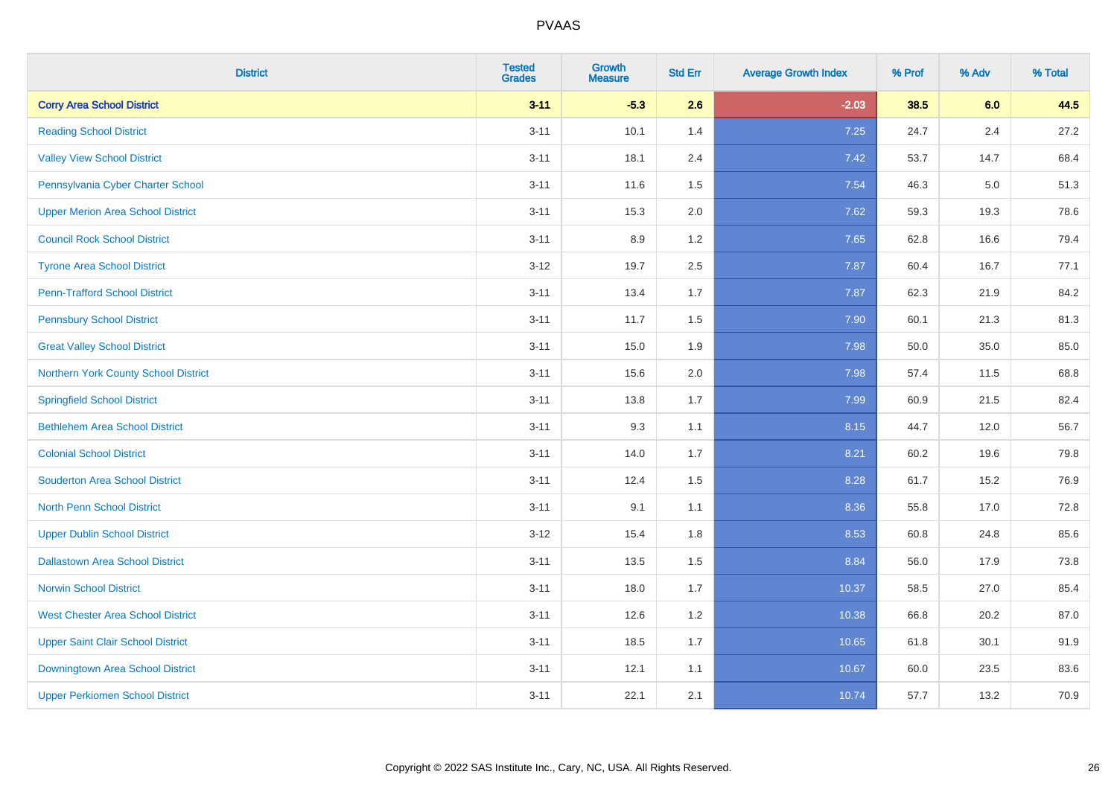| <b>District</b>                          | <b>Tested</b><br><b>Grades</b> | <b>Growth</b><br><b>Measure</b> | <b>Std Err</b> | <b>Average Growth Index</b> | % Prof | % Adv | % Total |
|------------------------------------------|--------------------------------|---------------------------------|----------------|-----------------------------|--------|-------|---------|
| <b>Corry Area School District</b>        | $3 - 11$                       | $-5.3$                          | 2.6            | $-2.03$                     | 38.5   | 6.0   | 44.5    |
| <b>Reading School District</b>           | $3 - 11$                       | 10.1                            | 1.4            | 7.25                        | 24.7   | 2.4   | 27.2    |
| <b>Valley View School District</b>       | $3 - 11$                       | 18.1                            | 2.4            | 7.42                        | 53.7   | 14.7  | 68.4    |
| Pennsylvania Cyber Charter School        | $3 - 11$                       | 11.6                            | 1.5            | 7.54                        | 46.3   | 5.0   | 51.3    |
| <b>Upper Merion Area School District</b> | $3 - 11$                       | 15.3                            | 2.0            | 7.62                        | 59.3   | 19.3  | 78.6    |
| <b>Council Rock School District</b>      | $3 - 11$                       | 8.9                             | 1.2            | 7.65                        | 62.8   | 16.6  | 79.4    |
| <b>Tyrone Area School District</b>       | $3-12$                         | 19.7                            | 2.5            | 7.87                        | 60.4   | 16.7  | 77.1    |
| <b>Penn-Trafford School District</b>     | $3 - 11$                       | 13.4                            | 1.7            | 7.87                        | 62.3   | 21.9  | 84.2    |
| <b>Pennsbury School District</b>         | $3 - 11$                       | 11.7                            | 1.5            | 7.90                        | 60.1   | 21.3  | 81.3    |
| <b>Great Valley School District</b>      | $3 - 11$                       | 15.0                            | 1.9            | 7.98                        | 50.0   | 35.0  | 85.0    |
| Northern York County School District     | $3 - 11$                       | 15.6                            | 2.0            | 7.98                        | 57.4   | 11.5  | 68.8    |
| <b>Springfield School District</b>       | $3 - 11$                       | 13.8                            | 1.7            | 7.99                        | 60.9   | 21.5  | 82.4    |
| <b>Bethlehem Area School District</b>    | $3 - 11$                       | 9.3                             | 1.1            | 8.15                        | 44.7   | 12.0  | 56.7    |
| <b>Colonial School District</b>          | $3 - 11$                       | 14.0                            | 1.7            | 8.21                        | 60.2   | 19.6  | 79.8    |
| <b>Souderton Area School District</b>    | $3 - 11$                       | 12.4                            | 1.5            | 8.28                        | 61.7   | 15.2  | 76.9    |
| <b>North Penn School District</b>        | $3 - 11$                       | 9.1                             | 1.1            | 8.36                        | 55.8   | 17.0  | 72.8    |
| <b>Upper Dublin School District</b>      | $3-12$                         | 15.4                            | 1.8            | 8.53                        | 60.8   | 24.8  | 85.6    |
| <b>Dallastown Area School District</b>   | $3 - 11$                       | 13.5                            | 1.5            | 8.84                        | 56.0   | 17.9  | 73.8    |
| <b>Norwin School District</b>            | $3 - 11$                       | 18.0                            | 1.7            | 10.37                       | 58.5   | 27.0  | 85.4    |
| <b>West Chester Area School District</b> | $3 - 11$                       | 12.6                            | 1.2            | 10.38                       | 66.8   | 20.2  | 87.0    |
| <b>Upper Saint Clair School District</b> | $3 - 11$                       | 18.5                            | 1.7            | 10.65                       | 61.8   | 30.1  | 91.9    |
| Downingtown Area School District         | $3 - 11$                       | 12.1                            | 1.1            | 10.67                       | 60.0   | 23.5  | 83.6    |
| <b>Upper Perkiomen School District</b>   | $3 - 11$                       | 22.1                            | 2.1            | 10.74                       | 57.7   | 13.2  | 70.9    |